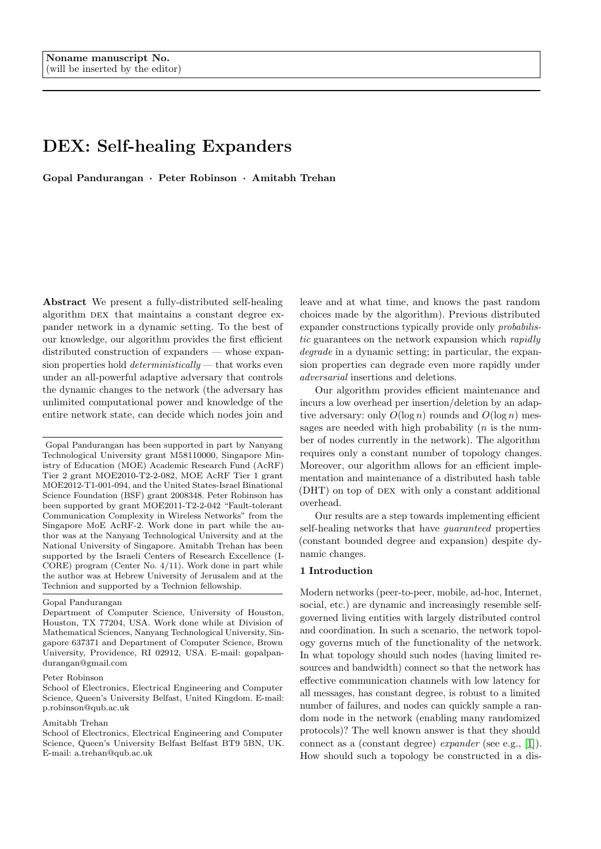# <span id="page-0-0"></span>DEX: Self-healing Expanders

Gopal Pandurangan · Peter Robinson · Amitabh Trehan

Abstract We present a fully-distributed self-healing algorithm DEX that maintains a constant degree expander network in a dynamic setting. To the best of our knowledge, our algorithm provides the first efficient distributed construction of expanders — whose expansion properties hold *deterministically* — that works even under an all-powerful adaptive adversary that controls the dynamic changes to the network (the adversary has unlimited computational power and knowledge of the entire network state, can decide which nodes join and

Gopal Pandurangan has been supported in part by Nanyang Technological University grant M58110000, Singapore Ministry of Education (MOE) Academic Research Fund (AcRF) Tier 2 grant MOE2010-T2-2-082, MOE AcRF Tier 1 grant MOE2012-T1-001-094, and the United States-Israel Binational Science Foundation (BSF) grant 2008348. Peter Robinson has been supported by grant MOE2011-T2-2-042 "Fault-tolerant Communication Complexity in Wireless Networks" from the Singapore MoE AcRF-2. Work done in part while the author was at the Nanyang Technological University and at the National University of Singapore. Amitabh Trehan has been supported by the Israeli Centers of Research Excellence (I-CORE) program (Center No. 4/11). Work done in part while the author was at Hebrew University of Jerusalem and at the Technion and supported by a Technion fellowship.

Gopal Pandurangan

#### Peter Robinson

School of Electronics, Electrical Engineering and Computer Science, Queen's University Belfast, United Kingdom. E-mail: p.robinson@qub.ac.uk

#### Amitabh Trehan

School of Electronics, Electrical Engineering and Computer Science, Queen's University Belfast Belfast BT9 5BN, UK. E-mail: a.trehan@qub.ac.uk

leave and at what time, and knows the past random choices made by the algorithm). Previous distributed expander constructions typically provide only probabilistic guarantees on the network expansion which rapidly degrade in a dynamic setting; in particular, the expansion properties can degrade even more rapidly under adversarial insertions and deletions.

Our algorithm provides efficient maintenance and incurs a low overhead per insertion/deletion by an adaptive adversary: only  $O(\log n)$  rounds and  $O(\log n)$  messages are needed with high probability  $(n$  is the number of nodes currently in the network). The algorithm requires only a constant number of topology changes. Moreover, our algorithm allows for an efficient implementation and maintenance of a distributed hash table (DHT) on top of DEX with only a constant additional overhead.

Our results are a step towards implementing efficient self-healing networks that have guaranteed properties (constant bounded degree and expansion) despite dynamic changes.

#### 1 Introduction

Modern networks (peer-to-peer, mobile, ad-hoc, Internet, social, etc.) are dynamic and increasingly resemble selfgoverned living entities with largely distributed control and coordination. In such a scenario, the network topology governs much of the functionality of the network. In what topology should such nodes (having limited resources and bandwidth) connect so that the network has effective communication channels with low latency for all messages, has constant degree, is robust to a limited number of failures, and nodes can quickly sample a random node in the network (enabling many randomized protocols)? The well known answer is that they should connect as a (constant degree) expander (see e.g., [\[1\]](#page-22-0)). How should such a topology be constructed in a dis-

Department of Computer Science, University of Houston, Houston, TX 77204, USA. Work done while at Division of Mathematical Sciences, Nanyang Technological University, Singapore 637371 and Department of Computer Science, Brown University, Providence, RI 02912, USA. E-mail: gopalpandurangan@gmail.com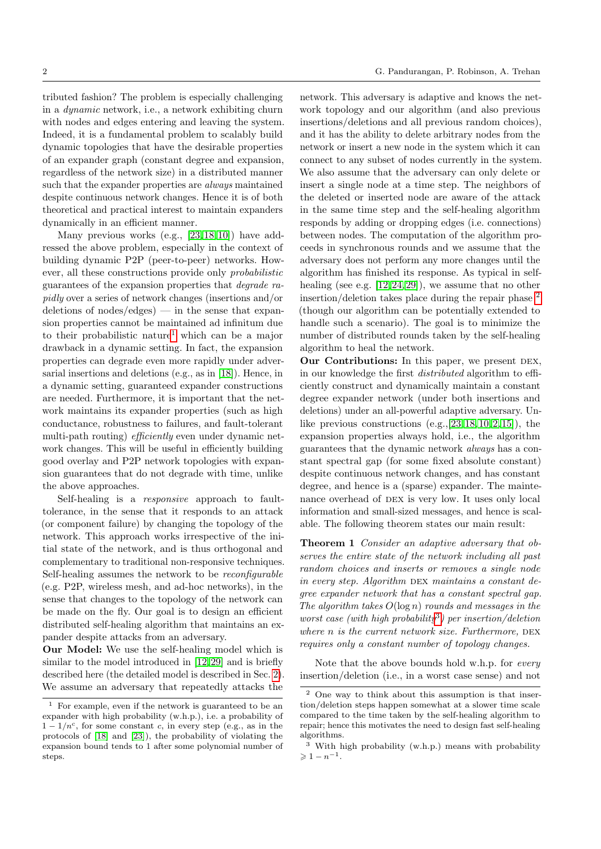tributed fashion? The problem is especially challenging in a dynamic network, i.e., a network exhibiting churn with nodes and edges entering and leaving the system. Indeed, it is a fundamental problem to scalably build dynamic topologies that have the desirable properties of an expander graph (constant degree and expansion, regardless of the network size) in a distributed manner such that the expander properties are always maintained despite continuous network changes. Hence it is of both theoretical and practical interest to maintain expanders

dynamically in an efficient manner. Many previous works (e.g., [\[23,](#page-22-1)[18,](#page-22-2)[10\]](#page-22-3)) have addressed the above problem, especially in the context of building dynamic P2P (peer-to-peer) networks. However, all these constructions provide only probabilistic guarantees of the expansion properties that degrade rapidly over a series of network changes (insertions and/or deletions of nodes/edges $)$  — in the sense that expansion properties cannot be maintained ad infinitum due to their probabilistic nature<sup>[1](#page-0-0)</sup> which can be a major drawback in a dynamic setting. In fact, the expansion properties can degrade even more rapidly under adversarial insertions and deletions (e.g., as in [\[18\]](#page-22-2)). Hence, in a dynamic setting, guaranteed expander constructions are needed. Furthermore, it is important that the network maintains its expander properties (such as high conductance, robustness to failures, and fault-tolerant multi-path routing) *efficiently* even under dynamic network changes. This will be useful in efficiently building good overlay and P2P network topologies with expansion guarantees that do not degrade with time, unlike the above approaches.

Self-healing is a *responsive* approach to faulttolerance, in the sense that it responds to an attack (or component failure) by changing the topology of the network. This approach works irrespective of the initial state of the network, and is thus orthogonal and complementary to traditional non-responsive techniques. Self-healing assumes the network to be reconfigurable (e.g. P2P, wireless mesh, and ad-hoc networks), in the sense that changes to the topology of the network can be made on the fly. Our goal is to design an efficient distributed self-healing algorithm that maintains an expander despite attacks from an adversary.

Our Model: We use the self-healing model which is similar to the model introduced in [\[12,](#page-22-4)[29\]](#page-22-5) and is briefly described here (the detailed model is described in Sec. [2\)](#page-3-0). We assume an adversary that repeatedly attacks the

network. This adversary is adaptive and knows the network topology and our algorithm (and also previous insertions/deletions and all previous random choices), and it has the ability to delete arbitrary nodes from the network or insert a new node in the system which it can connect to any subset of nodes currently in the system. We also assume that the adversary can only delete or insert a single node at a time step. The neighbors of the deleted or inserted node are aware of the attack in the same time step and the self-healing algorithm responds by adding or dropping edges (i.e. connections) between nodes. The computation of the algorithm proceeds in synchronous rounds and we assume that the adversary does not perform any more changes until the algorithm has finished its response. As typical in selfhealing (see e.g. [\[12,](#page-22-4)[24,](#page-22-6)[29\]](#page-22-5)), we assume that no other insertion/deletion takes place during the repair phase [2](#page-0-0) (though our algorithm can be potentially extended to handle such a scenario). The goal is to minimize the number of distributed rounds taken by the self-healing algorithm to heal the network.

Our Contributions: In this paper, we present DEX, in our knowledge the first distributed algorithm to efficiently construct and dynamically maintain a constant degree expander network (under both insertions and deletions) under an all-powerful adaptive adversary. Unlike previous constructions  $(e.g., [23, 18, 10, 2, 15])$  $(e.g., [23, 18, 10, 2, 15])$  $(e.g., [23, 18, 10, 2, 15])$  $(e.g., [23, 18, 10, 2, 15])$  $(e.g., [23, 18, 10, 2, 15])$  $(e.g., [23, 18, 10, 2, 15])$  $(e.g., [23, 18, 10, 2, 15])$  $(e.g., [23, 18, 10, 2, 15])$  $(e.g., [23, 18, 10, 2, 15])$  $(e.g., [23, 18, 10, 2, 15])$  $(e.g., [23, 18, 10, 2, 15])$ , the expansion properties always hold, i.e., the algorithm guarantees that the dynamic network always has a constant spectral gap (for some fixed absolute constant) despite continuous network changes, and has constant degree, and hence is a (sparse) expander. The maintenance overhead of DEX is very low. It uses only local information and small-sized messages, and hence is scalable. The following theorem states our main result:

<span id="page-1-0"></span>**Theorem 1** Consider an adaptive adversary that observes the entire state of the network including all past random choices and inserts or removes a single node in every step. Algorithm  $\n$ DEX maintains a constant degree expander network that has a constant spectral gap. The algorithm takes  $O(\log n)$  rounds and messages in the worst case (with high probability<sup>[3](#page-0-0)</sup>) per insertion/deletion where  $n$  is the current network size. Furthermore,  $DEX$ requires only a constant number of topology changes.

Note that the above bounds hold w.h.p. for every insertion/deletion (i.e., in a worst case sense) and not

<sup>1</sup> For example, even if the network is guaranteed to be an expander with high probability (w.h.p.), i.e. a probability of  $1 - 1/n^c$ , for some constant c, in every step (e.g., as in the protocols of [\[18\]](#page-22-2) and [\[23\]](#page-22-1)), the probability of violating the expansion bound tends to 1 after some polynomial number of steps.

<sup>2</sup> One way to think about this assumption is that insertion/deletion steps happen somewhat at a slower time scale compared to the time taken by the self-healing algorithm to repair; hence this motivates the need to design fast self-healing algorithms.

<sup>3</sup> With high probability (w.h.p.) means with probability  $\geqslant 1-n^{-1}.$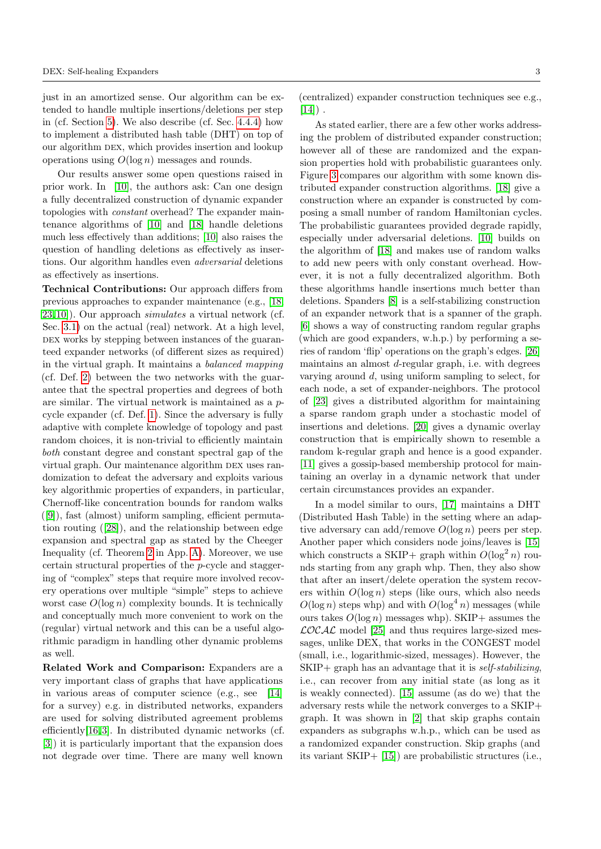just in an amortized sense. Our algorithm can be extended to handle multiple insertions/deletions per step in (cf. Section [5\)](#page-21-0). We also describe (cf. Sec. [4.4.4\)](#page-19-0) how to implement a distributed hash table (DHT) on top of our algorithm dex, which provides insertion and lookup operations using  $O(\log n)$  messages and rounds.

Our results answer some open questions raised in prior work. In [\[10\]](#page-22-3), the authors ask: Can one design a fully decentralized construction of dynamic expander topologies with constant overhead? The expander maintenance algorithms of [\[10\]](#page-22-3) and [\[18\]](#page-22-2) handle deletions much less effectively than additions; [\[10\]](#page-22-3) also raises the question of handling deletions as effectively as insertions. Our algorithm handles even adversarial deletions as effectively as insertions.

Technical Contributions: Our approach differs from previous approaches to expander maintenance (e.g., [\[18,](#page-22-2) [23,](#page-22-1)[10\]](#page-22-3)). Our approach simulates a virtual network (cf. Sec. [3.1\)](#page-4-0) on the actual (real) network. At a high level, DEX works by stepping between instances of the guaranteed expander networks (of different sizes as required) in the virtual graph. It maintains a balanced mapping (cf. Def. [2\)](#page-4-1) between the two networks with the guarantee that the spectral properties and degrees of both are similar. The virtual network is maintained as a pcycle expander (cf. Def. [1\)](#page-4-2). Since the adversary is fully adaptive with complete knowledge of topology and past random choices, it is non-trivial to efficiently maintain both constant degree and constant spectral gap of the virtual graph. Our maintenance algorithm DEX uses randomization to defeat the adversary and exploits various key algorithmic properties of expanders, in particular, Chernoff-like concentration bounds for random walks ([\[9\]](#page-22-9)), fast (almost) uniform sampling, efficient permutation routing ([\[28\]](#page-22-10)), and the relationship between edge expansion and spectral gap as stated by the Cheeger Inequality (cf. Theorem [2](#page-23-0) in App. [A\)](#page-22-11). Moreover, we use certain structural properties of the p-cycle and staggering of "complex" steps that require more involved recovery operations over multiple "simple" steps to achieve worst case  $O(\log n)$  complexity bounds. It is technically and conceptually much more convenient to work on the (regular) virtual network and this can be a useful algorithmic paradigm in handling other dynamic problems as well.

Related Work and Comparison: Expanders are a very important class of graphs that have applications in various areas of computer science (e.g., see [\[14\]](#page-22-12) for a survey) e.g. in distributed networks, expanders are used for solving distributed agreement problems efficiently[\[16,](#page-22-13)[3\]](#page-22-14). In distributed dynamic networks (cf. [\[3\]](#page-22-14)) it is particularly important that the expansion does not degrade over time. There are many well known

(centralized) expander construction techniques see e.g.,  $[14]$ ).

As stated earlier, there are a few other works addressing the problem of distributed expander construction; however all of these are randomized and the expansion properties hold with probabilistic guarantees only. Figure [3](#page-4-3) compares our algorithm with some known distributed expander construction algorithms. [\[18\]](#page-22-2) give a construction where an expander is constructed by composing a small number of random Hamiltonian cycles. The probabilistic guarantees provided degrade rapidly, especially under adversarial deletions. [\[10\]](#page-22-3) builds on the algorithm of [\[18\]](#page-22-2) and makes use of random walks to add new peers with only constant overhead. However, it is not a fully decentralized algorithm. Both these algorithms handle insertions much better than deletions. Spanders [\[8\]](#page-22-15) is a self-stabilizing construction of an expander network that is a spanner of the graph. [\[6\]](#page-22-16) shows a way of constructing random regular graphs (which are good expanders, w.h.p.) by performing a series of random 'flip' operations on the graph's edges. [\[26\]](#page-22-17) maintains an almost d-regular graph, i.e. with degrees varying around d, using uniform sampling to select, for each node, a set of expander-neighbors. The protocol of [\[23\]](#page-22-1) gives a distributed algorithm for maintaining a sparse random graph under a stochastic model of insertions and deletions. [\[20\]](#page-22-18) gives a dynamic overlay construction that is empirically shown to resemble a random k-regular graph and hence is a good expander. [\[11\]](#page-22-19) gives a gossip-based membership protocol for maintaining an overlay in a dynamic network that under certain circumstances provides an expander.

In a model similar to ours, [\[17\]](#page-22-20) maintains a DHT (Distributed Hash Table) in the setting where an adaptive adversary can add/remove  $O(\log n)$  peers per step. Another paper which considers node joins/leaves is [\[15\]](#page-22-8) which constructs a SKIP+ graph within  $O(\log^2 n)$  rounds starting from any graph whp. Then, they also show that after an insert/delete operation the system recovers within  $O(\log n)$  steps (like ours, which also needs  $O(\log n)$  steps whp) and with  $O(\log^4 n)$  messages (while ours takes  $O(\log n)$  messages whp). SKIP+ assumes the  $\mathcal{L}OCA\mathcal{L}$  model [\[25\]](#page-22-21) and thus requires large-sized messages, unlike DEX, that works in the CONGEST model (small, i.e., logarithmic-sized, messages). However, the  $SKIP$ + graph has an advantage that it is *self-stabilizing*, i.e., can recover from any initial state (as long as it is weakly connected). [\[15\]](#page-22-8) assume (as do we) that the adversary rests while the network converges to a SKIP+ graph. It was shown in [\[2\]](#page-22-7) that skip graphs contain expanders as subgraphs w.h.p., which can be used as a randomized expander construction. Skip graphs (and its variant SKIP+ [\[15\]](#page-22-8)) are probabilistic structures (i.e.,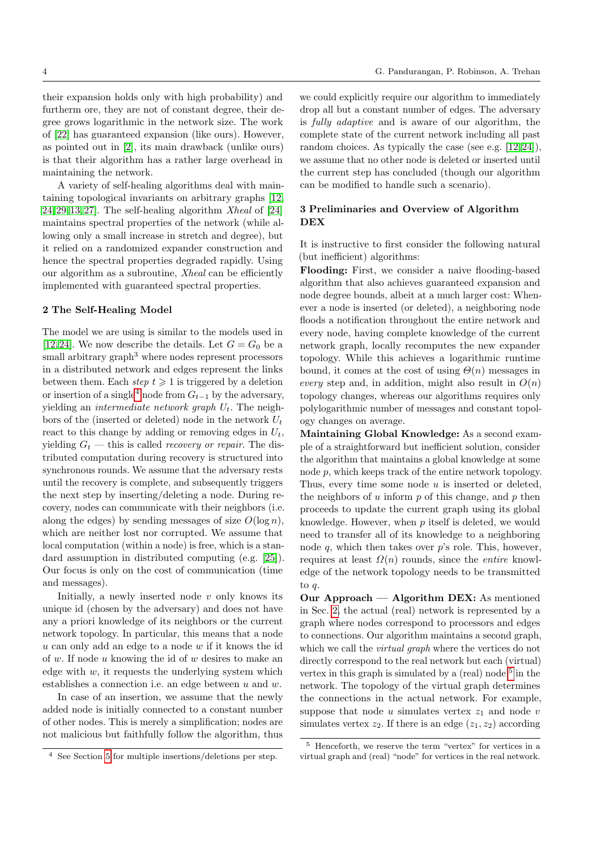their expansion holds only with high probability) and furtherm ore, they are not of constant degree, their degree grows logarithmic in the network size. The work of [\[22\]](#page-22-22) has guaranteed expansion (like ours). However, as pointed out in [\[2\]](#page-22-7), its main drawback (unlike ours) is that their algorithm has a rather large overhead in maintaining the network.

A variety of self-healing algorithms deal with maintaining topological invariants on arbitrary graphs [\[12,](#page-22-4)  $24,29,13,27$  $24,29,13,27$  $24,29,13,27$  $24,29,13,27$ . The self-healing algorithm Xheal of  $[24]$ maintains spectral properties of the network (while allowing only a small increase in stretch and degree), but it relied on a randomized expander construction and hence the spectral properties degraded rapidly. Using our algorithm as a subroutine, Xheal can be efficiently implemented with guaranteed spectral properties.

#### <span id="page-3-0"></span>2 The Self-Healing Model

The model we are using is similar to the models used in [\[12,](#page-22-4)[24\]](#page-22-6). We now describe the details. Let  $G = G_0$  be a small arbitrary graph<sup>3</sup> where nodes represent processors in a distributed network and edges represent the links between them. Each step  $t \geq 1$  is triggered by a deletion or insertion of a single<sup>[4](#page-0-0)</sup> node from  $G_{t-1}$  by the adversary, yielding an *intermediate network graph*  $U_t$ . The neighbors of the (inserted or deleted) node in the network  $U_t$ react to this change by adding or removing edges in  $U_t$ , yielding  $G_t$  — this is called *recovery or repair*. The distributed computation during recovery is structured into synchronous rounds. We assume that the adversary rests until the recovery is complete, and subsequently triggers the next step by inserting/deleting a node. During recovery, nodes can communicate with their neighbors (i.e. along the edges) by sending messages of size  $O(\log n)$ , which are neither lost nor corrupted. We assume that local computation (within a node) is free, which is a standard assumption in distributed computing (e.g. [\[25\]](#page-22-21)). Our focus is only on the cost of communication (time and messages).

Initially, a newly inserted node  $v$  only knows its unique id (chosen by the adversary) and does not have any a priori knowledge of its neighbors or the current network topology. In particular, this means that a node  $u$  can only add an edge to a node  $w$  if it knows the id of w. If node u knowing the id of w desires to make an edge with  $w$ , it requests the underlying system which establishes a connection i.e. an edge between  $u$  and  $w$ .

In case of an insertion, we assume that the newly added node is initially connected to a constant number of other nodes. This is merely a simplification; nodes are not malicious but faithfully follow the algorithm, thus we could explicitly require our algorithm to immediately drop all but a constant number of edges. The adversary is fully adaptive and is aware of our algorithm, the complete state of the current network including all past random choices. As typically the case (see e.g. [\[12,](#page-22-4)[24\]](#page-22-6)), we assume that no other node is deleted or inserted until the current step has concluded (though our algorithm can be modified to handle such a scenario).

# 3 Preliminaries and Overview of Algorithm DEX

It is instructive to first consider the following natural (but inefficient) algorithms:

Flooding: First, we consider a naive flooding-based algorithm that also achieves guaranteed expansion and node degree bounds, albeit at a much larger cost: Whenever a node is inserted (or deleted), a neighboring node floods a notification throughout the entire network and every node, having complete knowledge of the current network graph, locally recomputes the new expander topology. While this achieves a logarithmic runtime bound, it comes at the cost of using  $\Theta(n)$  messages in every step and, in addition, might also result in  $O(n)$ topology changes, whereas our algorithms requires only polylogarithmic number of messages and constant topology changes on average.

Maintaining Global Knowledge: As a second example of a straightforward but inefficient solution, consider the algorithm that maintains a global knowledge at some node p, which keeps track of the entire network topology. Thus, every time some node  $u$  is inserted or deleted, the neighbors of  $u$  inform  $p$  of this change, and  $p$  then proceeds to update the current graph using its global knowledge. However, when  $p$  itself is deleted, we would need to transfer all of its knowledge to a neighboring node  $q$ , which then takes over  $p$ 's role. This, however, requires at least  $\Omega(n)$  rounds, since the *entire* knowledge of the network topology needs to be transmitted to q.

Our Approach — Algorithm DEX: As mentioned in Sec. [2,](#page-3-0) the actual (real) network is represented by a graph where nodes correspond to processors and edges to connections. Our algorithm maintains a second graph, which we call the *virtual graph* where the vertices do not directly correspond to the real network but each (virtual) vertex in this graph is simulated by a (real) node  $5$  in the network. The topology of the virtual graph determines the connections in the actual network. For example, suppose that node  $u$  simulates vertex  $z_1$  and node  $v$ simulates vertex  $z_2$ . If there is an edge  $(z_1, z_2)$  according

<sup>4</sup> See Section [5](#page-21-0) for multiple insertions/deletions per step.

<sup>5</sup> Henceforth, we reserve the term "vertex" for vertices in a virtual graph and (real) "node" for vertices in the real network.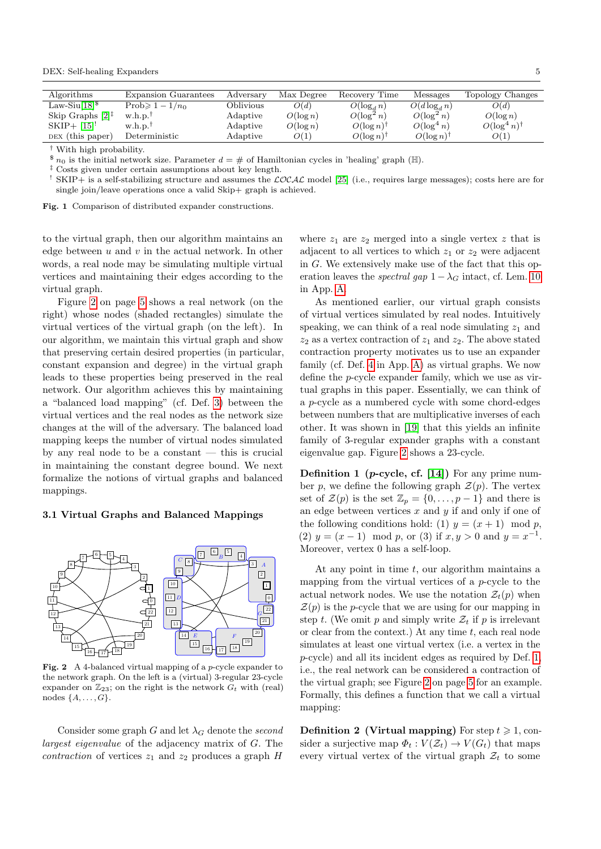DEX: Self-healing Expanders 5

| Algorithms                                         | Expansion Guarantees  | Adversary | Max Degree  | Recovery Time            | Messages        | Topology Changes      |
|----------------------------------------------------|-----------------------|-----------|-------------|--------------------------|-----------------|-----------------------|
| Law-Siu $[18]$ <sup>\$</sup>                       | Prob $\geq 1-1/n_0$   | Oblivious | O(d)        | $O(\log_d n)$            | $O(d \log_d n)$ | O(d)                  |
| Skip Graphs $[2]$ <sup><math>\ddagger</math></sup> | w.h.p.                | Adaptive  | $O(\log n)$ | $O(\log^2 n)$            | $O(\log^2 n)$   | $O(\log n)$           |
| $SKIP + [15]$                                      | $w.h.p.$ <sup>†</sup> | Adaptive  | $O(\log n)$ | $O(\log n)$ <sup>†</sup> | $O(\log^4 n)$   | $O(\log^4 n)^\dagger$ |
| DEX (this paper)                                   | Deterministic         | Adaptive  | O(1)        | $O(\log n)$ <sup>†</sup> | $O(\log n)^{r}$ | O(1)                  |
|                                                    |                       |           |             |                          |                 |                       |

† With high probability.

 $\delta n_0$  is the initial network size. Parameter  $d = \#$  of Hamiltonian cycles in 'healing' graph (H).

‡ Costs given under certain assumptions about key length.

<sup>1</sup> SKIP+ is a self-stabilizing structure and assumes the  $\mathcal{LOCAL}$  model [\[25\]](#page-22-21) (i.e., requires large messages); costs here are for single join/leave operations once a valid Skip+ graph is achieved.

<span id="page-4-3"></span>Fig. 1 Comparison of distributed expander constructions.

to the virtual graph, then our algorithm maintains an edge between  $u$  and  $v$  in the actual network. In other words, a real node may be simulating multiple virtual vertices and maintaining their edges according to the virtual graph.

Figure [2](#page-4-4) on page [5](#page-4-4) shows a real network (on the right) whose nodes (shaded rectangles) simulate the virtual vertices of the virtual graph (on the left). In our algorithm, we maintain this virtual graph and show that preserving certain desired properties (in particular, constant expansion and degree) in the virtual graph leads to these properties being preserved in the real network. Our algorithm achieves this by maintaining a "balanced load mapping" (cf. Def. [3\)](#page-5-0) between the virtual vertices and the real nodes as the network size changes at the will of the adversary. The balanced load mapping keeps the number of virtual nodes simulated by any real node to be a constant — this is crucial in maintaining the constant degree bound. We next formalize the notions of virtual graphs and balanced mappings.

## <span id="page-4-0"></span>3.1 Virtual Graphs and Balanced Mappings



Fig. 2 A 4-balanced virtual mapping of a p-cycle expander to the network graph. On the left is a (virtual) 3-regular 23-cycle expander on  $\mathbb{Z}_{23}$ ; on the right is the network  $G_t$  with (real) nodes  $\{A, \ldots, G\}.$ 

Consider some graph G and let  $\lambda_G$  denote the second largest eigenvalue of the adjacency matrix of G. The contraction of vertices  $z_1$  and  $z_2$  produces a graph H

where  $z_1$  are  $z_2$  merged into a single vertex z that is adjacent to all vertices to which  $z_1$  or  $z_2$  were adjacent in G. We extensively make use of the fact that this operation leaves the *spectral gap*  $1 - \lambda_G$  intact, cf. Lem. [10](#page-23-1) in App. [A.](#page-22-11)

As mentioned earlier, our virtual graph consists of virtual vertices simulated by real nodes. Intuitively speaking, we can think of a real node simulating  $z_1$  and  $z_2$  as a vertex contraction of  $z_1$  and  $z_2$ . The above stated contraction property motivates us to use an expander family (cf. Def. [4](#page-22-25) in App. [A\)](#page-22-11) as virtual graphs. We now define the p-cycle expander family, which we use as virtual graphs in this paper. Essentially, we can think of a p-cycle as a numbered cycle with some chord-edges between numbers that are multiplicative inverses of each other. It was shown in [\[19\]](#page-22-26) that this yields an infinite family of 3-regular expander graphs with a constant eigenvalue gap. Figure [2](#page-4-4) shows a 23-cycle.

<span id="page-4-2"></span>**Definition 1** (*p*-cycle, cf. [\[14\]](#page-22-12)) For any prime number p, we define the following graph  $\mathcal{Z}(p)$ . The vertex set of  $\mathcal{Z}(p)$  is the set  $\mathbb{Z}_p = \{0, \ldots, p-1\}$  and there is an edge between vertices  $x$  and  $y$  if and only if one of the following conditions hold: (1)  $y = (x + 1) \mod p$ , (2)  $y = (x - 1) \mod p$ , or (3) if  $x, y > 0$  and  $y = x^{-1}$ . Moreover, vertex 0 has a self-loop.

<span id="page-4-4"></span>At any point in time t, our algorithm maintains a mapping from the virtual vertices of a p-cycle to the actual network nodes. We use the notation  $\mathcal{Z}_t(p)$  when  $\mathcal{Z}(p)$  is the p-cycle that we are using for our mapping in step t. (We omit p and simply write  $\mathcal{Z}_t$  if p is irrelevant or clear from the context.) At any time  $t$ , each real node simulates at least one virtual vertex (i.e. a vertex in the p-cycle) and all its incident edges as required by Def. [1,](#page-4-2) i.e., the real network can be considered a contraction of the virtual graph; see Figure [2](#page-4-4) on page [5](#page-4-4) for an example. Formally, this defines a function that we call a virtual mapping:

<span id="page-4-1"></span>**Definition 2 (Virtual mapping)** For step  $t \ge 1$ , consider a surjective map  $\Phi_t : V(\mathcal{Z}_t) \to V(G_t)$  that maps every virtual vertex of the virtual graph  $\mathcal{Z}_t$  to some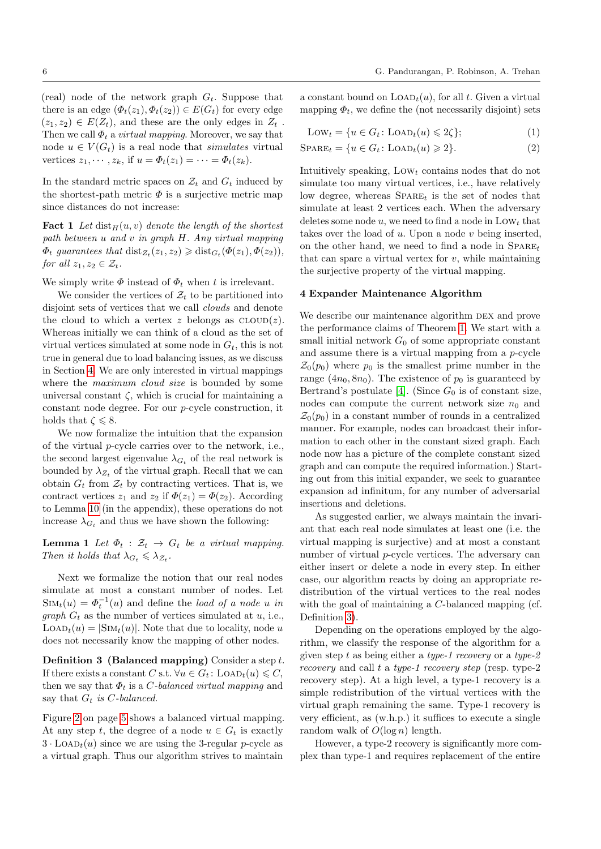(real) node of the network graph  $G_t$ . Suppose that there is an edge  $(\Phi_t(z_1), \Phi_t(z_2)) \in E(G_t)$  for every edge  $(z_1, z_2) \in E(Z_t)$ , and these are the only edges in  $Z_t$ . Then we call  $\Phi_t$  a *virtual mapping*. Moreover, we say that node  $u \in V(G_t)$  is a real node that *simulates* virtual vertices  $z_1, \dots, z_k$ , if  $u = \Phi_t(z_1) = \dots = \Phi_t(z_k)$ .

In the standard metric spaces on  $\mathcal{Z}_t$  and  $G_t$  induced by the shortest-path metric  $\Phi$  is a surjective metric map since distances do not increase:

**Fact 1** Let  $dist_H(u, v)$  denote the length of the shortest path between u and v in graph H. Any virtual mapping  $\Phi_t$  guarantees that  $dist_{Z_t}(z_1, z_2) \geq \text{dist}_{G_t}(\Phi(z_1), \Phi(z_2)),$ for all  $z_1, z_2 \in \mathcal{Z}_t$ .

We simply write  $\Phi$  instead of  $\Phi_t$  when t is irrelevant.

We consider the vertices of  $\mathcal{Z}_t$  to be partitioned into disjoint sets of vertices that we call clouds and denote the cloud to which a vertex z belongs as  $\text{CLOUD}(z)$ . Whereas initially we can think of a cloud as the set of virtual vertices simulated at some node in  $G_t$ , this is not true in general due to load balancing issues, as we discuss in Section [4.](#page-5-1) We are only interested in virtual mappings where the *maximum cloud size* is bounded by some universal constant  $\zeta$ , which is crucial for maintaining a constant node degree. For our p-cycle construction, it holds that  $\zeta \leq 8$ .

We now formalize the intuition that the expansion of the virtual p-cycle carries over to the network, i.e., the second largest eigenvalue  $\lambda_{G_t}$  of the real network is bounded by  $\lambda_{Z_t}$  of the virtual graph. Recall that we can obtain  $G_t$  from  $\mathcal{Z}_t$  by contracting vertices. That is, we contract vertices  $z_1$  and  $z_2$  if  $\Phi(z_1) = \Phi(z_2)$ . According to Lemma [10](#page-23-1) (in the appendix), these operations do not increase  $\lambda_{G_t}$  and thus we have shown the following:

<span id="page-5-2"></span>**Lemma 1** Let  $\Phi_t : \mathcal{Z}_t \to G_t$  be a virtual mapping. Then it holds that  $\lambda_{G_t} \leq \lambda_{\mathcal{Z}_t}$ .

Next we formalize the notion that our real nodes simulate at most a constant number of nodes. Let  $\text{Sim}_t(u) = \Phi_t^{-1}(u)$  and define the *load of a node u in graph*  $G_t$  as the number of vertices simulated at u, i.e.,  $\text{LOAD}_t(u) = |\text{SIM}_t(u)|.$  Note that due to locality, node u does not necessarily know the mapping of other nodes.

Definition 3 (Balanced mapping) Consider a step t. If there exists a constant C s.t.  $\forall u \in G_t : \text{LOAD}_t(u) \leq C$ , then we say that  $\Phi_t$  is a *C*-balanced virtual mapping and say that  $G_t$  is C-balanced.

Figure [2](#page-4-4) on page [5](#page-4-4) shows a balanced virtual mapping. At any step t, the degree of a node  $u \in G_t$  is exactly  $3 \cdot$  LOAD<sub>t</sub> $(u)$  since we are using the 3-regular p-cycle as a virtual graph. Thus our algorithm strives to maintain

a constant bound on  $\text{LOAD}_t(u)$ , for all t. Given a virtual mapping  $\Phi_t$ , we define the (not necessarily disjoint) sets

<span id="page-5-4"></span><span id="page-5-3"></span>
$$
Lowt = \{u \in Gt : LoADt(u) \leq 2\zeta\};
$$
\n(1)

$$
SPARE_t = \{u \in G_t : \text{LOAD}_t(u) \geq 2\}.
$$
 (2)

<span id="page-5-5"></span>Intuitively speaking,  $Low<sub>t</sub>$  contains nodes that do not simulate too many virtual vertices, i.e., have relatively low degree, whereas  $SPARE_t$  is the set of nodes that simulate at least 2 vertices each. When the adversary deletes some node  $u$ , we need to find a node in LOW<sub>t</sub> that takes over the load of  $u$ . Upon a node  $v$  being inserted, on the other hand, we need to find a node in  $SPARE_t$ that can spare a virtual vertex for  $v$ , while maintaining the surjective property of the virtual mapping.

#### <span id="page-5-1"></span>4 Expander Maintenance Algorithm

We describe our maintenance algorithm DEX and prove the performance claims of Theorem [1.](#page-1-0) We start with a small initial network  $G_0$  of some appropriate constant and assume there is a virtual mapping from a p-cycle  $\mathcal{Z}_0(p_0)$  where  $p_0$  is the smallest prime number in the range  $(4n_0, 8n_0)$ . The existence of  $p_0$  is guaranteed by Bertrand's postulate [\[4\]](#page-22-27). (Since  $G_0$  is of constant size, nodes can compute the current network size  $n_0$  and  $\mathcal{Z}_0(p_0)$  in a constant number of rounds in a centralized manner. For example, nodes can broadcast their information to each other in the constant sized graph. Each node now has a picture of the complete constant sized graph and can compute the required information.) Starting out from this initial expander, we seek to guarantee expansion ad infinitum, for any number of adversarial insertions and deletions.

As suggested earlier, we always maintain the invariant that each real node simulates at least one (i.e. the virtual mapping is surjective) and at most a constant number of virtual p-cycle vertices. The adversary can either insert or delete a node in every step. In either case, our algorithm reacts by doing an appropriate redistribution of the virtual vertices to the real nodes with the goal of maintaining a C-balanced mapping (cf. Definition [3\)](#page-5-0).

<span id="page-5-0"></span>Depending on the operations employed by the algorithm, we classify the response of the algorithm for a given step t as being either a type-1 recovery or a type-2 recovery and call t a type-1 recovery step (resp. type-2 recovery step). At a high level, a type-1 recovery is a simple redistribution of the virtual vertices with the virtual graph remaining the same. Type-1 recovery is very efficient, as (w.h.p.) it suffices to execute a single random walk of  $O(\log n)$  length.

However, a type-2 recovery is significantly more complex than type-1 and requires replacement of the entire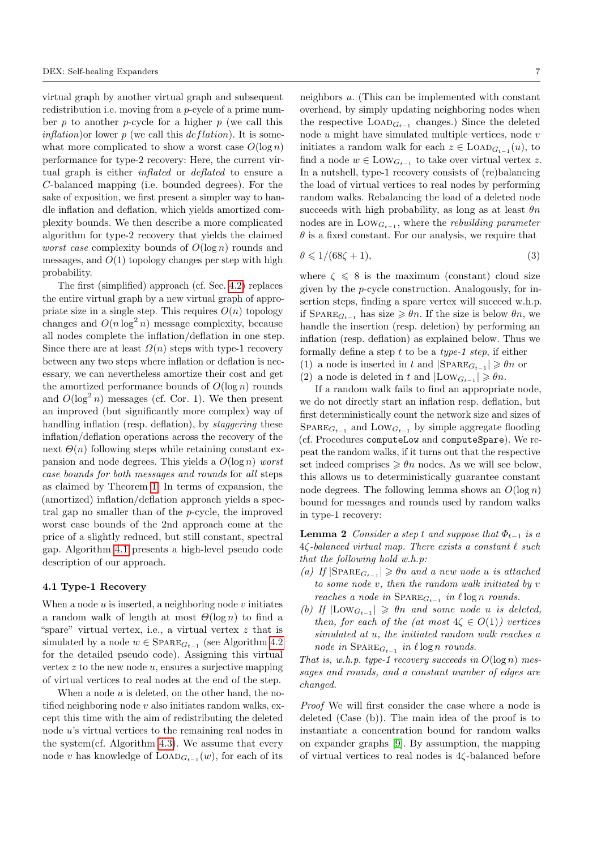virtual graph by another virtual graph and subsequent redistribution i.e. moving from a p-cycle of a prime number  $p$  to another  $p$ -cycle for a higher  $p$  (we call this *inflation*) or lower p (we call this  $deflation$ ). It is somewhat more complicated to show a worst case  $O(\log n)$ performance for type-2 recovery: Here, the current virtual graph is either inflated or deflated to ensure a C-balanced mapping (i.e. bounded degrees). For the sake of exposition, we first present a simpler way to handle inflation and deflation, which yields amortized complexity bounds. We then describe a more complicated algorithm for type-2 recovery that yields the claimed *worst case* complexity bounds of  $O(\log n)$  rounds and messages, and  $O(1)$  topology changes per step with high probability.

The first (simplified) approach (cf. Sec. [4.2\)](#page-8-0) replaces the entire virtual graph by a new virtual graph of appropriate size in a single step. This requires  $O(n)$  topology changes and  $O(n \log^2 n)$  message complexity, because all nodes complete the inflation/deflation in one step. Since there are at least  $\Omega(n)$  steps with type-1 recovery between any two steps where inflation or deflation is necessary, we can nevertheless amortize their cost and get the amortized performance bounds of  $O(\log n)$  rounds and  $O(\log^2 n)$  messages (cf. Cor. 1). We then present an improved (but significantly more complex) way of handling inflation (resp. deflation), by *staggering* these inflation/deflation operations across the recovery of the next  $\Theta(n)$  following steps while retaining constant expansion and node degrees. This yields a  $O(\log n)$  worst case bounds for both messages and rounds for all steps as claimed by Theorem [1.](#page-1-0) In terms of expansion, the (amortized) inflation/deflation approach yields a spectral gap no smaller than of the p-cycle, the improved worst case bounds of the 2nd approach come at the price of a slightly reduced, but still constant, spectral gap. Algorithm [4.1](#page-7-0) presents a high-level pseudo code description of our approach.

### 4.1 Type-1 Recovery

When a node  $u$  is inserted, a neighboring node  $v$  initiates a random walk of length at most  $\Theta(\log n)$  to find a "spare" virtual vertex, i.e., a virtual vertex z that is simulated by a node  $w \in \text{SPARE}_{G_{t-1}}$  (see Algorithm [4.2](#page-9-0)) for the detailed pseudo code). Assigning this virtual vertex  $z$  to the new node  $u$ , ensures a surjective mapping of virtual vertices to real nodes at the end of the step.

When a node  $u$  is deleted, on the other hand, the notified neighboring node  $v$  also initiates random walks, except this time with the aim of redistributing the deleted node u's virtual vertices to the remaining real nodes in the system(cf. Algorithm [4.3\)](#page-9-1). We assume that every node v has knowledge of  $\text{LOAD}_{G_{t-1}}(w)$ , for each of its

neighbors u. (This can be implemented with constant overhead, by simply updating neighboring nodes when the respective  $\text{LOAD}_{G_{t-1}}$  changes.) Since the deleted node  $u$  might have simulated multiple vertices, node  $v$ initiates a random walk for each  $z \in$  LOAD<sub> $G_{t-1}(u)$ </sub>, to find a node  $w \in \text{Low}_{G_{t-1}}$  to take over virtual vertex z. In a nutshell, type-1 recovery consists of (re)balancing the load of virtual vertices to real nodes by performing random walks. Rebalancing the load of a deleted node succeeds with high probability, as long as at least  $\theta n$ nodes are in  $\text{Low}_{G_{t-1}}$ , where the *rebuilding parameter*  $\theta$  is a fixed constant. For our analysis, we require that

<span id="page-6-1"></span>
$$
\theta \leqslant 1/(68\zeta + 1),\tag{3}
$$

where  $\zeta \leq 8$  is the maximum (constant) cloud size given by the p-cycle construction. Analogously, for insertion steps, finding a spare vertex will succeed w.h.p. if  $SPARE_{G_{t-1}}$  has size  $\geq \theta_n$ . If the size is below  $\theta_n$ , we handle the insertion (resp. deletion) by performing an inflation (resp. deflation) as explained below. Thus we formally define a step t to be a type-1 step, if either (1) a node is inserted in t and  $|SPARE_{G_{t-1}}| \ge \theta n$  or (2) a node is deleted in t and  $|\text{Low}_{G_{t-1}}| \ge \theta n$ .

If a random walk fails to find an appropriate node, we do not directly start an inflation resp. deflation, but first deterministically count the network size and sizes of  $SPARE_{G_{t-1}}$  and  $Low_{G_{t-1}}$  by simple aggregate flooding (cf. Procedures computeLow and computeSpare). We repeat the random walks, if it turns out that the respective set indeed comprises  $\geq \theta n$  nodes. As we will see below, this allows us to deterministically guarantee constant node degrees. The following lemma shows an  $O(\log n)$ bound for messages and rounds used by random walks in type-1 recovery:

<span id="page-6-0"></span>**Lemma 2** Consider a step t and suppose that  $\Phi_{t-1}$  is a  $4\zeta$ -balanced virtual map. There exists a constant  $\ell$  such that the following hold w.h.p:

- (a) If  $|\text{SPARE}_{G_{t-1}}| \geqslant \theta n$  and a new node u is attached to some node v, then the random walk initiated by v reaches a node in  $\text{SPARE}_{G_{t-1}}$  in  $\ell \log n$  rounds.
- (b) If  $|Low_{G_{t-1}}| \geq \theta n$  and some node u is deleted, then, for each of the (at most  $4\zeta \in O(1)$ ) vertices simulated at u, the initiated random walk reaches a node in  $\text{SPARE}_{G_{t-1}}$  in  $\ell \log n$  rounds.

That is, w.h.p. type-1 recovery succeeds in  $O(\log n)$  messages and rounds, and a constant number of edges are changed.

Proof We will first consider the case where a node is deleted (Case (b)). The main idea of the proof is to instantiate a concentration bound for random walks on expander graphs [\[9\]](#page-22-9). By assumption, the mapping of virtual vertices to real nodes is 4ζ-balanced before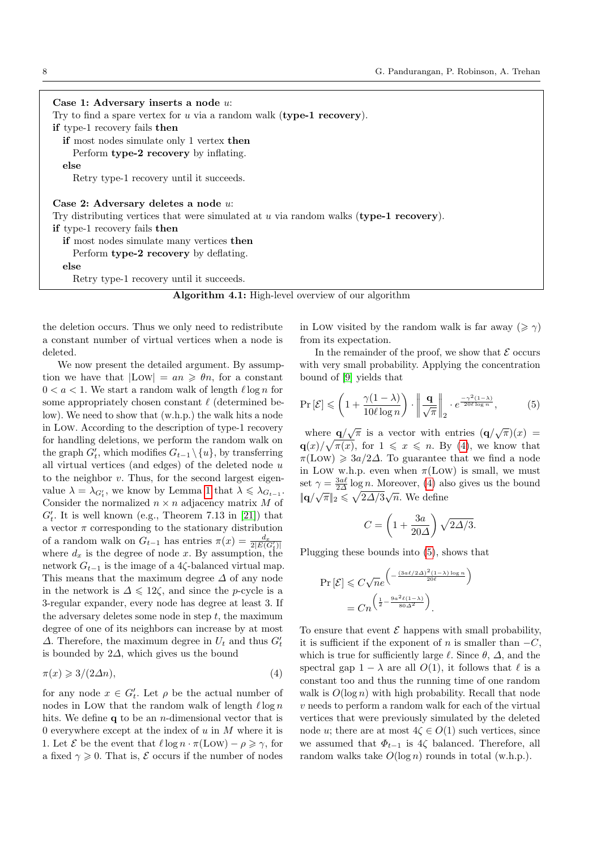Case 1: Adversary inserts a node u: Try to find a spare vertex for  $u$  via a random walk (type-1 recovery). if type-1 recovery fails then if most nodes simulate only 1 vertex then Perform type-2 recovery by inflating. else Retry type-1 recovery until it succeeds. Case 2: Adversary deletes a node u: Try distributing vertices that were simulated at  $u$  via random walks (type-1 recovery). if type-1 recovery fails then

if most nodes simulate many vertices then

Perform type-2 recovery by deflating.

$$
_{\rm else}
$$

<span id="page-7-0"></span>Retry type-1 recovery until it succeeds.

| <b>Algorithm 4.1:</b> High-level overview of our algorithm |  |  |  |  |
|------------------------------------------------------------|--|--|--|--|
|------------------------------------------------------------|--|--|--|--|

the deletion occurs. Thus we only need to redistribute a constant number of virtual vertices when a node is deleted.

We now present the detailed argument. By assumption we have that  $|Low| = an \geq \theta n$ , for a constant  $0 < a < 1$ . We start a random walk of length  $\ell \log n$  for some appropriately chosen constant  $\ell$  (determined below). We need to show that (w.h.p.) the walk hits a node in Low. According to the description of type-1 recovery for handling deletions, we perform the random walk on the graph  $G'_{t}$ , which modifies  $G_{t-1} \setminus \{u\}$ , by transferring all virtual vertices (and edges) of the deleted node u to the neighbor  $v$ . Thus, for the second largest eigenvalue  $\lambda = \lambda_{G'_t}$ , we know by Lemma [1](#page-5-2) that  $\lambda \leq \lambda_{G_{t-1}}$ . Consider the normalized  $n \times n$  adjacency matrix M of  $G'_{t}$ . It is well known (e.g., Theorem 7.13 in [\[21\]](#page-22-28)) that a vector  $\pi$  corresponding to the stationary distribution of a random walk on  $G_{t-1}$  has entries  $\pi(x) = \frac{d_x}{2|E(G_t)|}$ where  $d_x$  is the degree of node x. By assumption, the network  $G_{t-1}$  is the image of a 4 $\zeta$ -balanced virtual map. This means that the maximum degree  $\Delta$  of any node in the network is  $\Delta \leq 12\zeta$ , and since the p-cycle is a 3-regular expander, every node has degree at least 3. If the adversary deletes some node in step  $t$ , the maximum degree of one of its neighbors can increase by at most  $\Delta$ . Therefore, the maximum degree in  $U_t$  and thus  $G'_t$ is bounded by  $2\Delta$ , which gives us the bound

$$
\pi(x) \geqslant 3/(2\Delta n),\tag{4}
$$

for any node  $x \in G'_{t}$ . Let  $\rho$  be the actual number of nodes in Low that the random walk of length  $\ell \log n$ hits. We define  $q$  to be an *n*-dimensional vector that is 0 everywhere except at the index of  $u$  in  $M$  where it is 1. Let  $\mathcal E$  be the event that  $\ell \log n \cdot \pi(\text{Low}) - \rho \geq \gamma$ , for a fixed  $\gamma \geqslant 0$ . That is,  $\mathcal E$  occurs if the number of nodes

in Low visited by the random walk is far away ( $\geq \gamma$ ) from its expectation.

<span id="page-7-2"></span>In the remainder of the proof, we show that  $\mathcal E$  occurs with very small probability. Applying the concentration bound of [\[9\]](#page-22-9) yields that

$$
\Pr\left[\mathcal{E}\right] \leqslant \left(1 + \frac{\gamma(1-\lambda)}{10\ell\log n}\right) \cdot \left\|\frac{\mathbf{q}}{\sqrt{\pi}}\right\|_2 \cdot e^{\frac{-\gamma^2(1-\lambda)}{20\ell\log n}},\tag{5}
$$

where  $\mathbf{q}/\sqrt{\pi}$  is a vector with entries  $(\mathbf{q}/\sqrt{\pi})(x)$  =  $\mathbf{q}(x)/\sqrt{\pi(x)}$ , for  $1 \leq x \leq n$ . By [\(4\)](#page-7-1), we know that  $\pi(\text{Low}) \geq 3a/2\Delta$ . To guarantee that we find a node in Low w.h.p. even when  $\pi$ (Low) is small, we must set  $\gamma = \frac{3a\ell}{2\Delta} \log n$ . Moreover, [\(4\)](#page-7-1) also gives us the bound  $\|\mathbf{q}/\sqrt{\pi}\|_2 \leqslant \sqrt{2\Delta/3}\sqrt{n}$ . We define

$$
C = \left(1 + \frac{3a}{20\Delta}\right)\sqrt{2\Delta/3}.
$$

Plugging these bounds into [\(5\)](#page-7-2), shows that

$$
\Pr\left[\mathcal{E}\right] \leqslant C\sqrt{n}e^{\left(-\frac{(3a\ell/2\Delta)^2(1-\lambda)\log n}{20\ell}\right)}
$$

$$
=Cn^{\left(\frac{1}{2}-\frac{9a^2\ell(1-\lambda)}{80\Delta^2}\right)}.
$$

<span id="page-7-1"></span>To ensure that event  $\mathcal E$  happens with small probability, it is sufficient if the exponent of n is smaller than  $-C$ , which is true for sufficiently large  $\ell$ . Since  $\theta$ ,  $\Delta$ , and the spectral gap  $1 - \lambda$  are all  $O(1)$ , it follows that  $\ell$  is a constant too and thus the running time of one random walk is  $O(\log n)$  with high probability. Recall that node  $v$  needs to perform a random walk for each of the virtual vertices that were previously simulated by the deleted node *u*; there are at most  $4\zeta \in O(1)$  such vertices, since we assumed that  $\Phi_{t-1}$  is 4 $\zeta$  balanced. Therefore, all random walks take  $O(\log n)$  rounds in total (w.h.p.).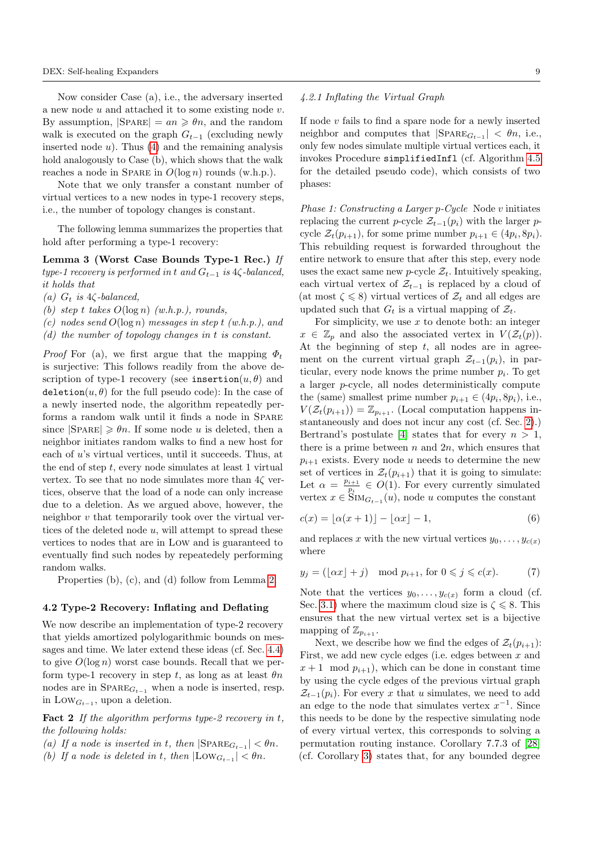Now consider Case (a), i.e., the adversary inserted a new node u and attached it to some existing node v. By assumption,  $|SPARE| = an \geq \theta n$ , and the random walk is executed on the graph  $G_{t-1}$  (excluding newly inserted node  $u$ ). Thus  $(4)$  and the remaining analysis hold analogously to Case (b), which shows that the walk reaches a node in SPARE in  $O(\log n)$  rounds (w.h.p.).

Note that we only transfer a constant number of virtual vertices to a new nodes in type-1 recovery steps, i.e., the number of topology changes is constant.

The following lemma summarizes the properties that hold after performing a type-1 recovery:

Lemma 3 (Worst Case Bounds Type-1 Rec.) If type-1 recovery is performed in t and  $G_{t-1}$  is 4 $\zeta$ -balanced, it holds that

(a)  $G_t$  is 4 $\zeta$ -balanced,

(b) step t takes  $O(\log n)$  (w.h.p.), rounds,

(c) nodes send  $O(\log n)$  messages in step t (w.h.p.), and

(d) the number of topology changes in t is constant.

*Proof* For (a), we first argue that the mapping  $\Phi_t$ is surjective: This follows readily from the above description of type-1 recovery (see insertion $(u, \theta)$  and deletion $(u, \theta)$  for the full pseudo code): In the case of a newly inserted node, the algorithm repeatedly performs a random walk until it finds a node in Spare since  $|\text{SPARE}| \geq \theta n$ . If some node u is deleted, then a neighbor initiates random walks to find a new host for each of u's virtual vertices, until it succeeds. Thus, at the end of step  $t$ , every node simulates at least 1 virtual vertex. To see that no node simulates more than  $4\zeta$  vertices, observe that the load of a node can only increase due to a deletion. As we argued above, however, the neighbor v that temporarily took over the virtual vertices of the deleted node  $u$ , will attempt to spread these vertices to nodes that are in Low and is guaranteed to eventually find such nodes by repeatedely performing random walks.

Properties (b), (c), and (d) follow from Lemma [2.](#page-6-0)

### <span id="page-8-0"></span>4.2 Type-2 Recovery: Inflating and Deflating

We now describe an implementation of type-2 recovery that yields amortized polylogarithmic bounds on messages and time. We later extend these ideas (cf. Sec. [4.4\)](#page-16-0) to give  $O(\log n)$  worst case bounds. Recall that we perform type-1 recovery in step t, as long as at least  $\theta n$ nodes are in  $SPARE_{G_{t-1}}$  when a node is inserted, resp. in  $\text{Low}_{G_{t-1}}$ , upon a deletion.

<span id="page-8-3"></span>**Fact 2** If the algorithm performs type-2 recovery in t, the following holds:

- (a) If a node is inserted in t, then  $|\text{SPARE}_{G_{t-1}}| < \theta n$ .
- (b) If a node is deleted in t, then  $|\text{Low}_{G_{t-1}}| < \theta n$ .

## 4.2.1 Inflating the Virtual Graph

If node  $v$  fails to find a spare node for a newly inserted neighbor and computes that  $|SPARE_{G_{t-1}}| < \theta_n$ , i.e., only few nodes simulate multiple virtual vertices each, it invokes Procedure simplifiedInfl (cf. Algorithm [4.5](#page-11-0) for the detailed pseudo code), which consists of two phases:

<span id="page-8-4"></span>Phase 1: Constructing a Larger p-Cycle Node v initiates replacing the current p-cycle  $\mathcal{Z}_{t-1}(p_i)$  with the larger pcycle  $\mathcal{Z}_t(p_{i+1})$ , for some prime number  $p_{i+1} \in (4p_i, 8p_i)$ . This rebuilding request is forwarded throughout the entire network to ensure that after this step, every node uses the exact same new p-cycle  $\mathcal{Z}_t$ . Intuitively speaking, each virtual vertex of  $\mathcal{Z}_{t-1}$  is replaced by a cloud of (at most  $\zeta \leq 8$ ) virtual vertices of  $\mathcal{Z}_t$  and all edges are updated such that  $G_t$  is a virtual mapping of  $\mathcal{Z}_t$ .

For simplicity, we use  $x$  to denote both: an integer  $x \in \mathbb{Z}_p$  and also the associated vertex in  $V(\mathcal{Z}_t(p)).$ At the beginning of step  $t$ , all nodes are in agreement on the current virtual graph  $\mathcal{Z}_{t-1}(p_i)$ , in particular, every node knows the prime number  $p_i$ . To get a larger p-cycle, all nodes deterministically compute the (same) smallest prime number  $p_{i+1} \in (4p_i, 8p_i)$ , i.e.,  $V(\mathcal{Z}_t(p_{i+1})) = \mathbb{Z}_{p_{i+1}}$ . (Local computation happens instantaneously and does not incur any cost (cf. Sec. [2\)](#page-3-0).) Bertrand's postulate [\[4\]](#page-22-27) states that for every  $n > 1$ , there is a prime between  $n$  and  $2n$ , which ensures that  $p_{i+1}$  exists. Every node u needs to determine the new set of vertices in  $\mathcal{Z}_t(p_{i+1})$  that it is going to simulate: Let  $\alpha = \frac{p_{i+1}}{n}$  $\frac{i+1}{p_i} \in O(1)$ . For every currently simulated vertex  $x \in \text{Sim}_{G_{t-1}}(u)$ , node u computes the constant

<span id="page-8-2"></span>
$$
c(x) = \lfloor \alpha(x+1) \rfloor - \lfloor \alpha x \rfloor - 1,\tag{6}
$$

<span id="page-8-1"></span>and replaces x with the new virtual vertices  $y_0, \ldots, y_{c(x)}$ where

$$
y_j = (\lfloor \alpha x \rfloor + j) \mod p_{i+1}, \text{ for } 0 \leq j \leq c(x). \tag{7}
$$

Note that the vertices  $y_0, \ldots, y_{c(x)}$  form a cloud (cf. Sec. [3.1\)](#page-4-0) where the maximum cloud size is  $\zeta \leq 8$ . This ensures that the new virtual vertex set is a bijective mapping of  $\mathbb{Z}_{p_{i+1}}$ .

Next, we describe how we find the edges of  $\mathcal{Z}_t(p_{i+1})$ : First, we add new cycle edges (i.e. edges between  $x$  and  $x+1 \mod p_{i+1}$ , which can be done in constant time by using the cycle edges of the previous virtual graph  $\mathcal{Z}_{t-1}(p_i)$ . For every x that u simulates, we need to add an edge to the node that simulates vertex  $x^{-1}$ . Since this needs to be done by the respective simulating node of every virtual vertex, this corresponds to solving a permutation routing instance. Corollary 7.7.3 of [\[28\]](#page-22-10) (cf. Corollary [3\)](#page-23-2) states that, for any bounded degree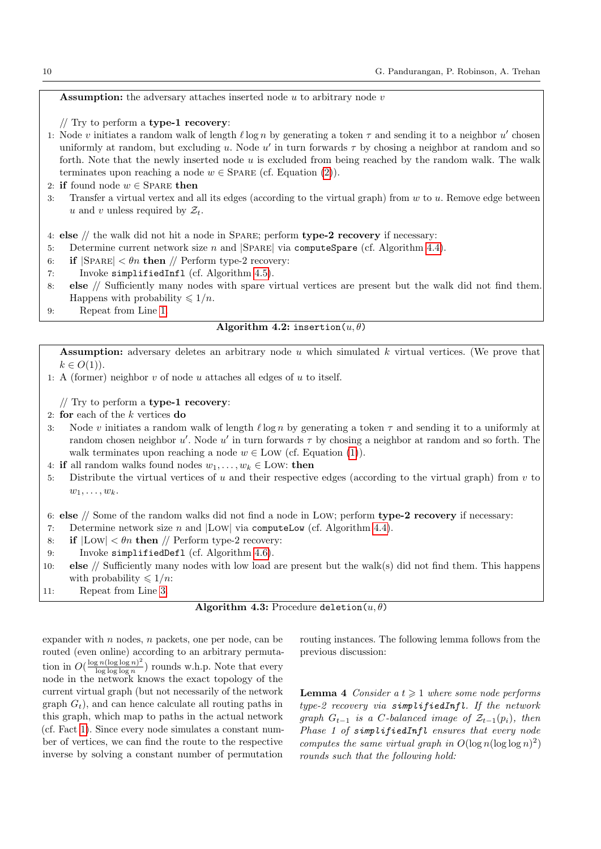<span id="page-9-2"></span>**Assumption:** the adversary attaches inserted node  $u$  to arbitrary node  $v$ 

// Try to perform a type-1 recovery:

- 1: Node v initiates a random walk of length  $\ell \log n$  by generating a token  $\tau$  and sending it to a neighbor  $u'$  chosen uniformly at random, but excluding u. Node u' in turn forwards  $\tau$  by chosing a neighbor at random and so forth. Note that the newly inserted node  $u$  is excluded from being reached by the random walk. The walk terminates upon reaching a node  $w \in$  SPARE (cf. Equation [\(2\)](#page-5-3)).
- 2: if found node  $w \in$  Spare then
- 3: Transfer a virtual vertex and all its edges (according to the virtual graph) from  $w$  to  $u$ . Remove edge between u and v unless required by  $\mathcal{Z}_t$ .

4: else  $//$  the walk did not hit a node in SPARE; perform type-2 recovery if necessary:

- 5: Determine current network size  $n$  and  $|SPARE|$  via computeSpare (cf. Algorithm [4.4\)](#page-10-0).
- 6: if  $|SPARE| < \theta n$  then // Perform type-2 recovery:
- 7: Invoke simplifiedInfl (cf. Algorithm [4.5\)](#page-11-0).
- 8: else // Sufficiently many nodes with spare virtual vertices are present but the walk did not find them. Happens with probability  $\leq 1/n$ .
- <span id="page-9-0"></span>9: Repeat from Line [1.](#page-9-2)

## Algorithm 4.2: insertion $(u, \theta)$

**Assumption:** adversary deletes an arbitrary node  $u$  which simulated  $k$  virtual vertices. (We prove that  $k \in O(1)$ ).

1: A (former) neighbor  $v$  of node  $u$  attaches all edges of  $u$  to itself.

// Try to perform a type-1 recovery:

2: for each of the k vertices do

- <span id="page-9-3"></span>3: Node v initiates a random walk of length  $\ell \log n$  by generating a token  $\tau$  and sending it to a uniformly at random chosen neighbor u'. Node u' in turn forwards  $\tau$  by chosing a neighbor at random and so forth. The walk terminates upon reaching a node  $w \in Low$  (cf. Equation [\(1\)](#page-5-4)).
- 4: if all random walks found nodes  $w_1, \ldots, w_k \in \text{Low}$ : then
- 5: Distribute the virtual vertices of u and their respective edges (according to the virtual graph) from  $v$  to  $w_1, \ldots, w_k$ .

6: else // Some of the random walks did not find a node in Low; perform type-2 recovery if necessary:

- 7: Determine network size  $n$  and  $|$ Low via computeLow (cf. Algorithm [4.4\)](#page-10-0).
- 8: if  $|Low| < \theta n$  then // Perform type-2 recovery:
- 9: Invoke simplifiedDefl (cf. Algorithm [4.6\)](#page-14-0).
- 10: else // Sufficiently many nodes with low load are present but the walk(s) did not find them. This happens with probability  $\leq 1/n$ :
- <span id="page-9-1"></span>11: Repeat from Line [3.](#page-9-3)

|  |  |  | Algorithm 4.3: Procedure deletion $(u, \theta)$ |  |
|--|--|--|-------------------------------------------------|--|
|--|--|--|-------------------------------------------------|--|

expander with  $n$  nodes,  $n$  packets, one per node, can be routed (even online) according to an arbitrary permutation in  $O(\frac{\log n(\log \log n)^2}{\log \log \log n})$  $\frac{\log n(\log \log n)}{\log \log \log n}$  rounds w.h.p. Note that every node in the network knows the exact topology of the current virtual graph (but not necessarily of the network graph  $G_t$ ), and can hence calculate all routing paths in this graph, which map to paths in the actual network (cf. Fact [1\)](#page-5-5). Since every node simulates a constant number of vertices, we can find the route to the respective inverse by solving a constant number of permutation

<span id="page-9-4"></span>routing instances. The following lemma follows from the previous discussion:

**Lemma 4** Consider  $a t \geq 1$  where some node performs type-2 recovery via simplifiedInfl. If the network qraph  $G_{t-1}$  is a C-balanced image of  $\mathcal{Z}_{t-1}(p_i)$ , then Phase 1 of simplifiedInfl ensures that every node computes the same virtual graph in  $O(\log n (\log \log n)^2)$ rounds such that the following hold: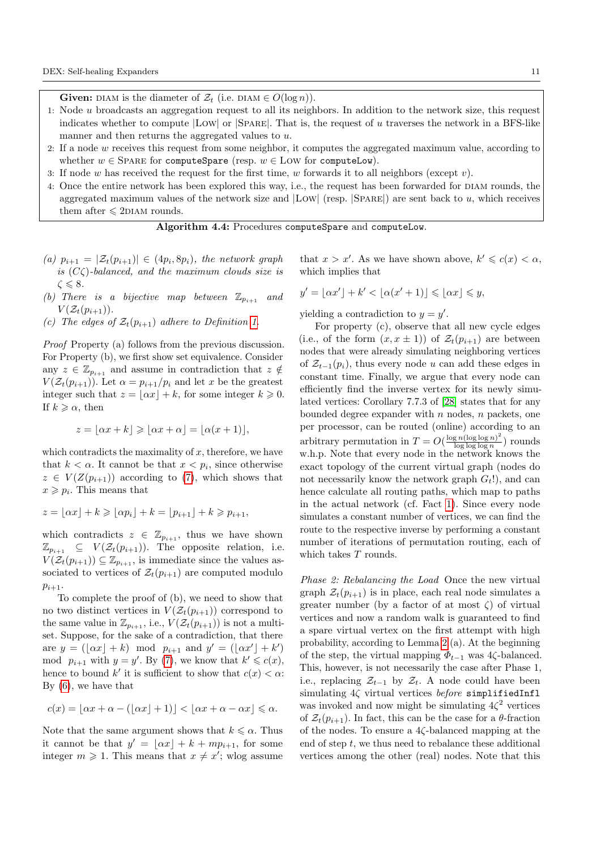**Given:** DIAM is the diameter of  $\mathcal{Z}_t$  (i.e. DIAM  $\in O(\log n)$ ).

- 1: Node u broadcasts an aggregation request to all its neighbors. In addition to the network size, this request indicates whether to compute |Low| or |Spare|. That is, the request of u traverses the network in a BFS-like manner and then returns the aggregated values to u.
- 2: If a node w receives this request from some neighbor, it computes the aggregated maximum value, according to whether  $w \in$  SPARE for computeSpare (resp.  $w \in$  LOW for computeLow).
- 3: If node w has received the request for the first time, w forwards it to all neighbors (except v).
- <span id="page-10-0"></span>4: Once the entire network has been explored this way, i.e., the request has been forwarded for diam rounds, the aggregated maximum values of the network size and  $|Low|$  (resp.  $|SPARE|$ ) are sent back to u, which receives them after  $\leq 2$ DIAM rounds.

Algorithm 4.4: Procedures computeSpare and computeLow.

- (a)  $p_{i+1} = |\mathcal{Z}_t(p_{i+1})| \in (4p_i, 8p_i)$ , the network graph is  $(C\zeta)$ -balanced, and the maximum clouds size is  $\zeta \leqslant 8$ .
- (b) There is a bijective map between  $\mathbb{Z}_{p_{i+1}}$  and  $V(\mathcal{Z}_t(p_{i+1})).$
- (c) The edges of  $\mathcal{Z}_t(p_{i+1})$  adhere to Definition [1.](#page-4-2)

Proof Property (a) follows from the previous discussion. For Property (b), we first show set equivalence. Consider any  $z \in \mathbb{Z}_{n+1}$  and assume in contradiction that  $z \notin \mathbb{Z}_{n+1}$  $V(\mathcal{Z}_t(p_{i+1}))$ . Let  $\alpha = p_{i+1}/p_i$  and let x be the greatest integer such that  $z = \lfloor \alpha x \rfloor + k$ , for some integer  $k \geq 0$ . If  $k \geq \alpha$ , then

$$
z = \lfloor \alpha x + k \rfloor \geqslant \lfloor \alpha x + \alpha \rfloor = \lfloor \alpha (x + 1) \rfloor,
$$

which contradicts the maximality of  $x$ , therefore, we have that  $k < \alpha$ . It cannot be that  $x < p_i$ , since otherwise  $z \in V(Z(p_{i+1}))$  according to [\(7\)](#page-8-1), which shows that  $x \geqslant p_i$ . This means that

$$
z = \lfloor \alpha x \rfloor + k \geqslant \lfloor \alpha p_i \rfloor + k = \lfloor p_{i+1} \rfloor + k \geqslant p_{i+1},
$$

which contradicts  $z \in \mathbb{Z}_{p_{i+1}}$ , thus we have shown  $\mathbb{Z}_{p_{i+1}} \subseteq V(\mathcal{Z}_t(p_{i+1}))$ . The opposite relation, i.e.  $V(\mathcal{Z}_t(p_{i+1})) \subseteq \mathbb{Z}_{p_{i+1}},$  is immediate since the values associated to vertices of  $\mathcal{Z}_t(p_{i+1})$  are computed modulo  $p_{i+1}$ .

To complete the proof of (b), we need to show that no two distinct vertices in  $V(\mathcal{Z}_t(p_{i+1}))$  correspond to the same value in  $\mathbb{Z}_{p_{i+1}}$ , i.e.,  $V(\mathcal{Z}_t(p_{i+1}))$  is not a multiset. Suppose, for the sake of a contradiction, that there are  $y = (\lfloor \alpha x \rfloor + k) \mod p_{i+1}$  and  $y' = (\lfloor \alpha x' \rfloor + k')$ mod  $p_{i+1}$  with  $y = y'$ . By [\(7\)](#page-8-1), we know that  $k' \leq c(x)$ , hence to bound k' it is sufficient to show that  $c(x) < \alpha$ . By [\(6\)](#page-8-2), we have that

$$
c(x) = \lfloor \alpha x + \alpha - (\lfloor \alpha x \rfloor + 1) \rfloor < \lfloor \alpha x + \alpha - \alpha x \rfloor \leq \alpha.
$$

Note that the same argument shows that  $k \leq \alpha$ . Thus it cannot be that  $y' = \lfloor \alpha x \rfloor + k + mp_{i+1}$ , for some integer  $m \geqslant 1$ . This means that  $x \neq x'$ ; wlog assume

that  $x > x'$ . As we have shown above,  $k' \leq c(x) < \alpha$ , which implies that

$$
y' = \lfloor \alpha x' \rfloor + k' < \lfloor \alpha (x' + 1) \rfloor \leqslant \lfloor \alpha x \rfloor \leqslant y,
$$

yielding a contradiction to  $y = y'$ .

For property (c), observe that all new cycle edges (i.e., of the form  $(x, x \pm 1)$ ) of  $\mathcal{Z}_t(p_{i+1})$  are between nodes that were already simulating neighboring vertices of  $\mathcal{Z}_{t-1}(p_i)$ , thus every node u can add these edges in constant time. Finally, we argue that every node can efficiently find the inverse vertex for its newly simulated vertices: Corollary 7.7.3 of [\[28\]](#page-22-10) states that for any bounded degree expander with  $n$  nodes,  $n$  packets, one per processor, can be routed (online) according to an arbitrary permutation in  $T = O(\frac{\log n (\log \log n)^2}{\log \log \log n})$  $\frac{\lg n(\log \log n)}{\log \log \log n}$  rounds w.h.p. Note that every node in the network knows the exact topology of the current virtual graph (nodes do not necessarily know the network graph  $G_t$ !), and can hence calculate all routing paths, which map to paths in the actual network (cf. Fact [1\)](#page-5-5). Since every node simulates a constant number of vertices, we can find the route to the respective inverse by performing a constant number of iterations of permutation routing, each of which takes T rounds.

Phase 2: Rebalancing the Load Once the new virtual graph  $\mathcal{Z}_t(p_{i+1})$  is in place, each real node simulates a greater number (by a factor of at most  $\zeta$ ) of virtual vertices and now a random walk is guaranteed to find a spare virtual vertex on the first attempt with high probability, according to Lemma [2.](#page-6-0)(a). At the beginning of the step, the virtual mapping  $\Phi_{t-1}$  was 4 $\zeta$ -balanced. This, however, is not necessarily the case after Phase 1, i.e., replacing  $\mathcal{Z}_{t-1}$  by  $\mathcal{Z}_t$ . A node could have been simulating  $4\zeta$  virtual vertices before simplifiedInfl was invoked and now might be simulating  $4\zeta^2$  vertices of  $\mathcal{Z}_t(p_{i+1})$ . In fact, this can be the case for a  $\theta$ -fraction of the nodes. To ensure a 4ζ-balanced mapping at the end of step  $t$ , we thus need to rebalance these additional vertices among the other (real) nodes. Note that this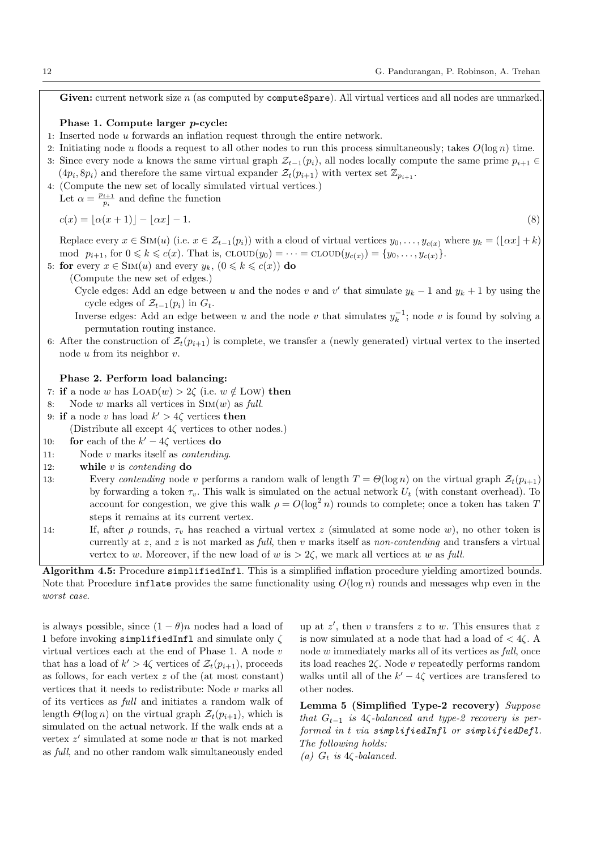Given: current network size  $n$  (as computed by computeSpare). All virtual vertices and all nodes are unmarked.

#### Phase 1. Compute larger p-cycle:

- 1: Inserted node u forwards an inflation request through the entire network.
- 2: Initiating node u floods a request to all other nodes to run this process simultaneously; takes  $O(\log n)$  time.
- 3: Since every node u knows the same virtual graph  $\mathcal{Z}_{t-1}(p_i)$ , all nodes locally compute the same prime  $p_{i+1} \in$  $(4p_i, 8p_i)$  and therefore the same virtual expander  $\mathcal{Z}_t(p_{i+1})$  with vertex set  $\mathbb{Z}_{p_{i+1}}$ .
- 4: (Compute the new set of locally simulated virtual vertices.)

Let  $\alpha = \frac{p_{i+1}}{p_i}$  $\frac{i+1}{p_i}$  and define the function

$$
c(x) = \lfloor \alpha(x+1) \rfloor - \lfloor \alpha x \rfloor - 1. \tag{8}
$$

Replace every  $x \in \text{Sim}(u)$  (i.e.  $x \in \mathcal{Z}_{t-1}(p_i)$ ) with a cloud of virtual vertices  $y_0, \ldots, y_{c(x)}$  where  $y_k = (\lfloor \alpha x \rfloor + k)$ mod  $p_{i+1}$ , for  $0 \le k \le c(x)$ . That is,  $\text{cLOW}(y_0) = \cdots = \text{cLOW}(y_{c(x)}) = \{y_0, \ldots, y_{c(x)}\}.$ 

5: for every  $x \in \text{Sim}(u)$  and every  $y_k$ ,  $(0 \le k \le c(x))$  do

(Compute the new set of edges.)

Cycle edges: Add an edge between u and the nodes v and v' that simulate  $y_k - 1$  and  $y_k + 1$  by using the cycle edges of  $\mathcal{Z}_{t-1}(p_i)$  in  $G_t$ .

- Inverse edges: Add an edge between u and the node v that simulates  $y_k^{-1}$ ; node v is found by solving a permutation routing instance.
- 6: After the construction of  $\mathcal{Z}_t(p_{i+1})$  is complete, we transfer a (newly generated) virtual vertex to the inserted node u from its neighbor v.

## Phase 2. Perform load balancing:

- 7: if a node w has  $\text{LOAD}(w) > 2\zeta$  (i.e.  $w \notin \text{Low}$ ) then
- 8: Node w marks all vertices in  $\text{Sim}(w)$  as full.
- 9: if a node v has load  $k' > 4\zeta$  vertices then

(Distribute all except  $4\zeta$  vertices to other nodes.)

- 10: **for** each of the  $k' 4\zeta$  vertices **do**
- 11: Node v marks itself as contending.
- 12: while  $v$  is *contending* do
- 13: Every contending node v performs a random walk of length  $T = \Theta(\log n)$  on the virtual graph  $\mathcal{Z}_t(p_{i+1})$ by forwarding a token  $\tau_v$ . This walk is simulated on the actual network  $U_t$  (with constant overhead). To account for congestion, we give this walk  $\rho = O(\log^2 n)$  rounds to complete; once a token has taken T steps it remains at its current vertex.
- 14: If, after  $\rho$  rounds,  $\tau_v$  has reached a virtual vertex z (simulated at some node w), no other token is currently at z, and z is not marked as full, then v marks itself as non-contending and transfers a virtual vertex to w. Moreover, if the new load of w is  $> 2\zeta$ , we mark all vertices at w as full.

<span id="page-11-0"></span>Algorithm 4.5: Procedure simplifiedInfl. This is a simplified inflation procedure yielding amortized bounds. Note that Procedure inflate provides the same functionality using  $O(\log n)$  rounds and messages whp even in the worst case.

is always possible, since  $(1 - \theta)n$  nodes had a load of 1 before invoking simplifiedInfl and simulate only  $\zeta$ virtual vertices each at the end of Phase 1. A node v that has a load of  $k' > 4\zeta$  vertices of  $\mathcal{Z}_t(p_{i+1})$ , proceeds as follows, for each vertex  $z$  of the (at most constant) vertices that it needs to redistribute: Node  $v$  marks all of its vertices as full and initiates a random walk of length  $\Theta(\log n)$  on the virtual graph  $\mathcal{Z}_t(p_{i+1})$ , which is simulated on the actual network. If the walk ends at a vertex  $z'$  simulated at some node  $w$  that is not marked as full, and no other random walk simultaneously ended

up at  $z'$ , then v transfers  $z$  to w. This ensures that  $z$ is now simulated at a node that had a load of  $\lt$  4 $\zeta$ . A node w immediately marks all of its vertices as *full*, once its load reaches 2ζ. Node v repeatedly performs random walks until all of the  $k' - 4\zeta$  vertices are transfered to other nodes.

<span id="page-11-1"></span>Lemma 5 (Simplified Type-2 recovery) Suppose that  $G_{t-1}$  is 4 $\zeta$ -balanced and type-2 recovery is performed in t via simplifiedInfl or simplifiedDefl. The following holds:

(a)  $G_t$  is 4 $\zeta$ -balanced.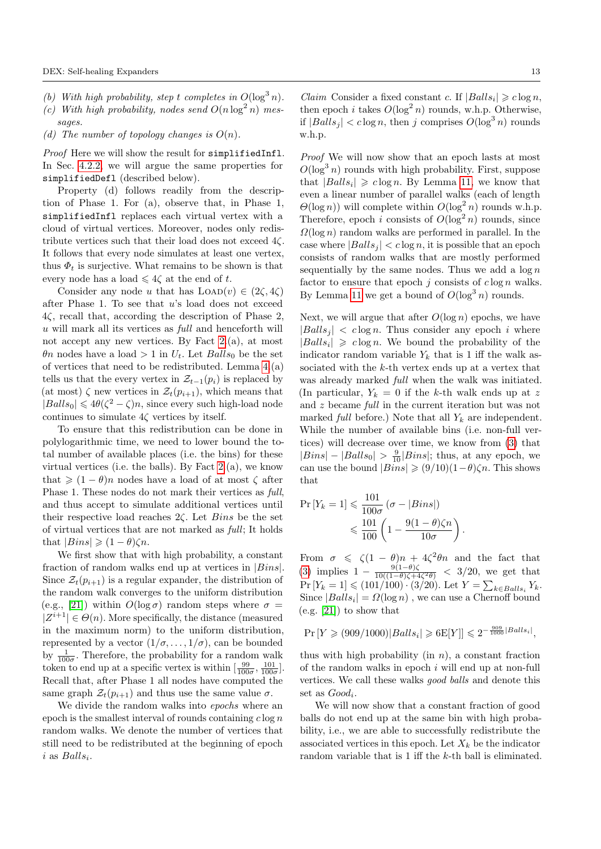- (b) With high probability, step t completes in  $O(\log^3 n)$ .
- (c) With high probability, nodes send  $O(n \log^2 n)$  messages.
- (d) The number of topology changes is  $O(n)$ .

Proof Here we will show the result for simplifiedInfl. In Sec. [4.2.2,](#page-13-0) we will argue the same properties for simplifiedDefl (described below).

Property (d) follows readily from the description of Phase 1. For (a), observe that, in Phase 1, simplifiedInfl replaces each virtual vertex with a cloud of virtual vertices. Moreover, nodes only redistribute vertices such that their load does not exceed 4ζ. It follows that every node simulates at least one vertex, thus  $\Phi_t$  is surjective. What remains to be shown is that every node has a load  $\leq 4\zeta$  at the end of t.

Consider any node u that has  $\text{LOAD}(v) \in (2\zeta, 4\zeta)$ after Phase 1. To see that  $u$ 's load does not exceed 4ζ, recall that, according the description of Phase 2, u will mark all its vertices as full and henceforth will not accept any new vertices. By Fact [2.](#page-8-3)(a), at most  $\theta$ n nodes have a load > 1 in  $U_t$ . Let  $Balls_0$  be the set of vertices that need to be redistributed. Lemma [4.](#page-9-4)(a) tells us that the every vertex in  $\mathcal{Z}_{t-1}(p_i)$  is replaced by (at most)  $\zeta$  new vertices in  $\mathcal{Z}_t(p_{i+1})$ , which means that  $|Balls_0| \leq 4\theta(\zeta^2 - \zeta)n$ , since every such high-load node continues to simulate  $4\zeta$  vertices by itself.

To ensure that this redistribution can be done in polylogarithmic time, we need to lower bound the total number of available places (i.e. the bins) for these virtual vertices (i.e. the balls). By Fact [2.](#page-8-3)(a), we know that  $\geq (1 - \theta)n$  nodes have a load of at most  $\zeta$  after Phase 1. These nodes do not mark their vertices as full, and thus accept to simulate additional vertices until their respective load reaches  $2\zeta$ . Let *Bins* be the set of virtual vertices that are not marked as full; It holds that  $|Bins| \geqslant (1-\theta)\zeta n$ .

We first show that with high probability, a constant fraction of random walks end up at vertices in |Bins|. Since  $\mathcal{Z}_t(p_{i+1})$  is a regular expander, the distribution of the random walk converges to the uniform distribution (e.g., [\[21\]](#page-22-28)) within  $O(\log \sigma)$  random steps where  $\sigma =$  $|Z^{i+1}| \in \Theta(n)$ . More specifically, the distance (measured in the maximum norm) to the uniform distribution, represented by a vector  $(1/\sigma, \ldots, 1/\sigma)$ , can be bounded by  $\frac{1}{100\sigma}$ . Therefore, the probability for a random walk token to end up at a specific vertex is within  $\left[\frac{99}{100\sigma}, \frac{101}{100\sigma}\right]$ . Recall that, after Phase 1 all nodes have computed the same graph  $\mathcal{Z}_t(p_{i+1})$  and thus use the same value  $\sigma$ .

We divide the random walks into *epochs* where an epoch is the smallest interval of rounds containing  $c \log n$ random walks. We denote the number of vertices that still need to be redistributed at the beginning of epoch  $i$  as  $Balls_i$ .

Proof We will now show that an epoch lasts at most  $O(\log^3 n)$  rounds with high probability. First, suppose that  $|Balls_i| \geq c \log n$ . By Lemma [11,](#page-23-3) we know that even a linear number of parallel walks (each of length  $\Theta(\log n)$ ) will complete within  $O(\log^2 n)$  rounds w.h.p. Therefore, epoch i consists of  $O(\log^2 n)$  rounds, since  $\Omega(\log n)$  random walks are performed in parallel. In the case where  $|Balls_j| < c \log n$ , it is possible that an epoch consists of random walks that are mostly performed sequentially by the same nodes. Thus we add a  $\log n$ factor to ensure that epoch  $j$  consists of  $c \log n$  walks. By Lemma [11](#page-23-3) we get a bound of  $O(\log^3 n)$  rounds.

Next, we will argue that after  $O(\log n)$  epochs, we have  $|Balls_j| < c \log n$ . Thus consider any epoch i where  $|Balls_i| \geq c \log n$ . We bound the probability of the indicator random variable  $Y_k$  that is 1 iff the walk associated with the k-th vertex ends up at a vertex that was already marked full when the walk was initiated. (In particular,  $Y_k = 0$  if the k-th walk ends up at z and z became full in the current iteration but was not marked full before.) Note that all  $Y_k$  are independent. While the number of available bins (i.e. non-full vertices) will decrease over time, we know from [\(3\)](#page-6-1) that  $|Bins| - |Balls_0| > \frac{9}{10}|Bins|$ ; thus, at any epoch, we can use the bound  $|Bins| \geq (9/10)(1-\theta)\zeta n$ . This shows that

$$
\Pr[Y_k = 1] \leq \frac{101}{100\sigma} (\sigma - |Bins|)
$$
  

$$
\leq \frac{101}{100} \left( 1 - \frac{9(1 - \theta)\zeta n}{10\sigma} \right).
$$

From  $\sigma \leq \zeta(1-\theta)n + 4\zeta^2\theta n$  and the fact that [\(3\)](#page-6-1) implies  $1 - \frac{9(1-\theta)\zeta}{10((1-\theta)\zeta+\epsilon)}$  $\frac{9(1-\theta)\zeta}{10((1-\theta)\zeta+4\zeta^2\theta)} < 3/20$ , we get that  $Pr[Y_k = 1] \leq (101/100) \cdot (3/20)$ . Let  $Y = \sum_{k \in Balls_i} Y_k$ . Since  $|Balls_i| = \Omega(\log n)$ , we can use a Chernoff bound  $(e.g. [21])$  $(e.g. [21])$  $(e.g. [21])$  to show that

$$
Pr[Y \ge (909/1000)|Balls_i| \ge 6E[Y]] \le 2^{-\frac{909}{1000}|Balls_i|},
$$

thus with high probability (in  $n$ ), a constant fraction of the random walks in epoch  $i$  will end up at non-full vertices. We call these walks good balls and denote this set as  $Good_i$ .

We will now show that a constant fraction of good balls do not end up at the same bin with high probability, i.e., we are able to successfully redistribute the associated vertices in this epoch. Let  $X_k$  be the indicator random variable that is 1 iff the k-th ball is eliminated.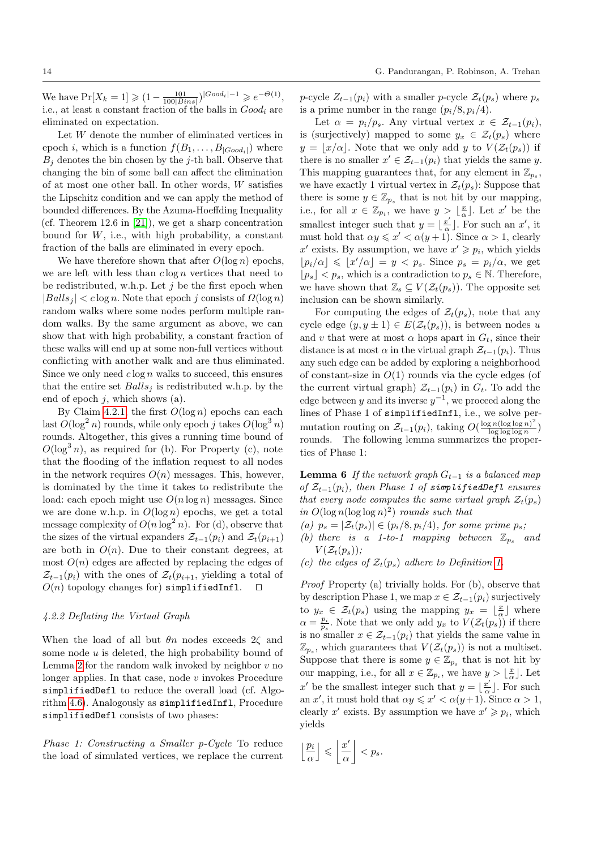We have  $Pr[X_k = 1] \geq (1 - \frac{101}{100|Bins|})^{|Good_i|-1} \geq e^{-\Theta(1)},$ i.e., at least a constant fraction of the balls in  $Good_i$  are eliminated on expectation.

Let W denote the number of eliminated vertices in epoch *i*, which is a function  $f(B_1, \ldots, B_{|Good_i|})$  where  $B_i$  denotes the bin chosen by the j-th ball. Observe that changing the bin of some ball can affect the elimination of at most one other ball. In other words, W satisfies the Lipschitz condition and we can apply the method of bounded differences. By the Azuma-Hoeffding Inequality (cf. Theorem 12.6 in [\[21\]](#page-22-28)), we get a sharp concentration bound for  $W$ , i.e., with high probability, a constant fraction of the balls are eliminated in every epoch.

We have therefore shown that after  $O(\log n)$  epochs, we are left with less than  $c \log n$  vertices that need to be redistributed, w.h.p. Let  $j$  be the first epoch when  $|Balls_j| < c \log n$ . Note that epoch j consists of  $\Omega(\log n)$ random walks where some nodes perform multiple random walks. By the same argument as above, we can show that with high probability, a constant fraction of these walks will end up at some non-full vertices without conflicting with another walk and are thus eliminated. Since we only need  $c \log n$  walks to succeed, this ensures that the entire set  $Balls<sub>j</sub>$  is redistributed w.h.p. by the end of epoch  $j$ , which shows  $(a)$ .

By Claim [4.2.1,](#page-11-1) the first  $O(\log n)$  epochs can each last  $O(\log^2 n)$  rounds, while only epoch j takes  $O(\log^3 n)$ rounds. Altogether, this gives a running time bound of  $O(\log^3 n)$ , as required for (b). For Property (c), note that the flooding of the inflation request to all nodes in the network requires  $O(n)$  messages. This, however, is dominated by the time it takes to redistribute the load: each epoch might use  $O(n \log n)$  messages. Since we are done w.h.p. in  $O(\log n)$  epochs, we get a total message complexity of  $O(n \log^2 n)$ . For (d), observe that the sizes of the virtual expanders  $\mathcal{Z}_{t-1}(p_i)$  and  $\mathcal{Z}_t(p_{i+1})$ are both in  $O(n)$ . Due to their constant degrees, at most  $O(n)$  edges are affected by replacing the edges of  $\mathcal{Z}_{t-1}(p_i)$  with the ones of  $\mathcal{Z}_t(p_{i+1}, y_i)$  yielding a total of  $O(n)$  topology changes for) simplifiedInfl.

#### <span id="page-13-0"></span>4.2.2 Deflating the Virtual Graph

When the load of all but  $\theta_n$  nodes exceeds  $2\zeta$  and some node  $u$  is deleted, the high probability bound of Lemma [2](#page-6-0) for the random walk invoked by neighbor  $v$  no longer applies. In that case, node  $v$  invokes Procedure simplifiedDefl to reduce the overall load (cf. Algorithm [4.6\)](#page-14-0). Analogously as simplifiedInfl, Procedure simplifiedDefl consists of two phases:

Phase 1: Constructing a Smaller p-Cycle To reduce the load of simulated vertices, we replace the current

p-cycle  $Z_{t-1}(p_i)$  with a smaller p-cycle  $\mathcal{Z}_t(p_s)$  where  $p_s$ is a prime number in the range  $(p_i/8, p_i/4)$ .

Let  $\alpha = p_i/p_s$ . Any virtual vertex  $x \in \mathcal{Z}_{t-1}(p_i)$ , is (surjectively) mapped to some  $y_x \in \mathcal{Z}_t(p_s)$  where  $y = \lfloor x/\alpha \rfloor$ . Note that we only add y to  $V(\mathcal{Z}_t(p_s))$  if there is no smaller  $x' \in \mathcal{Z}_{t-1}(p_i)$  that yields the same y. This mapping guarantees that, for any element in  $\mathbb{Z}_{p_s}$ , we have exactly 1 virtual vertex in  $\mathcal{Z}_t(p_s)$ : Suppose that there is some  $y \in \mathbb{Z}_{p_s}$  that is not hit by our mapping, i.e., for all  $x \in \mathbb{Z}_{p_i}$ , we have  $y > \lfloor \frac{x}{\alpha} \rfloor$ . Let  $x'$  be the smallest integer such that  $y = \frac{x^b}{a}$  $\frac{x'}{\alpha}$ . For such an  $x'$ , it must hold that  $\alpha y \leq x' < \alpha (y + 1)$ . Since  $\alpha > 1$ , clearly x' exists. By assumption, we have  $x' \geq p_i$ , which yields  $\lfloor p_i/\alpha \rfloor \leq \lfloor x'/\alpha \rfloor = y < p_s$ . Since  $p_s = p_i/\alpha$ , we get  $\lfloor p_s \rfloor < p_s$ , which is a contradiction to  $p_s \in \mathbb{N}$ . Therefore, we have shown that  $\mathbb{Z}_s \subseteq V(\mathcal{Z}_t(p_s))$ . The opposite set inclusion can be shown similarly.

For computing the edges of  $\mathcal{Z}_t(p_s)$ , note that any cycle edge  $(y, y \pm 1) \in E(\mathcal{Z}_t(p_s))$ , is between nodes u and v that were at most  $\alpha$  hops apart in  $G_t$ , since their distance is at most  $\alpha$  in the virtual graph  $\mathcal{Z}_{t-1}(p_i)$ . Thus any such edge can be added by exploring a neighborhood of constant-size in  $O(1)$  rounds via the cycle edges (of the current virtual graph)  $\mathcal{Z}_{t-1}(p_i)$  in  $G_t$ . To add the edge between y and its inverse  $y^{-1}$ , we proceed along the lines of Phase 1 of simplifiedInfl, i.e., we solve permutation routing on  $\mathcal{Z}_{t-1}(p_i)$ , taking  $O(\frac{\log n (\log \log n)^2}{\log \log \log n})$  $\frac{\lg n(\log \log n)}{\log \log \log n}\big)$ rounds. The following lemma summarizes the properties of Phase 1:

**Lemma 6** If the network graph  $G_{t-1}$  is a balanced map of  $\mathcal{Z}_{t-1}(p_i)$ , then Phase 1 of simplifiedDefl ensures that every node computes the same virtual graph  $\mathcal{Z}_t(p_s)$ in  $O(\log n(\log \log n)^2)$  rounds such that

- (a)  $p_s = |\mathcal{Z}_t(p_s)| \in (p_i/8, p_i/4)$ , for some prime  $p_s$ ;
- (b) there is a 1-to-1 mapping between  $\mathbb{Z}_{p_s}$  and  $V(\mathcal{Z}_t(p_s))$ ;
- (c) the edges of  $\mathcal{Z}_t(p_s)$  adhere to Definition [1.](#page-4-2)

Proof Property (a) trivially holds. For (b), observe that by description Phase 1, we map  $x \in \mathcal{Z}_{t-1}(p_i)$  surjectively to  $y_x \in \mathcal{Z}_t(p_s)$  using the mapping  $y_x = \lfloor \frac{x}{\alpha} \rfloor$  where  $\alpha = \frac{p_i}{p_s}$ . Note that we only add  $y_x$  to  $V(\mathcal{Z}_t(p_s))$  if there is no smaller  $x \in \mathcal{Z}_{t-1}(p_i)$  that yields the same value in  $\mathbb{Z}_{p_s}$ , which guarantees that  $V(\mathcal{Z}_t(p_s))$  is not a multiset. Suppose that there is some  $y \in \mathbb{Z}_{p_s}$  that is not hit by our mapping, i.e., for all  $x \in \mathbb{Z}_{p_i}$ , we have  $y > \lfloor \frac{x}{\alpha} \rfloor$ . Let x' be the smallest integer such that  $y = \lfloor \frac{x'}{x} \rfloor$  $\frac{x'}{\alpha}$ . For such an x', it must hold that  $\alpha y \leq x' < \alpha (y+1)$ . Since  $\alpha > 1$ , clearly x' exists. By assumption we have  $x' \geq p_i$ , which yields

$$
\left\lfloor \frac{p_i}{\alpha} \right\rfloor \leqslant \left\lfloor \frac{x'}{\alpha} \right\rfloor < p_s.
$$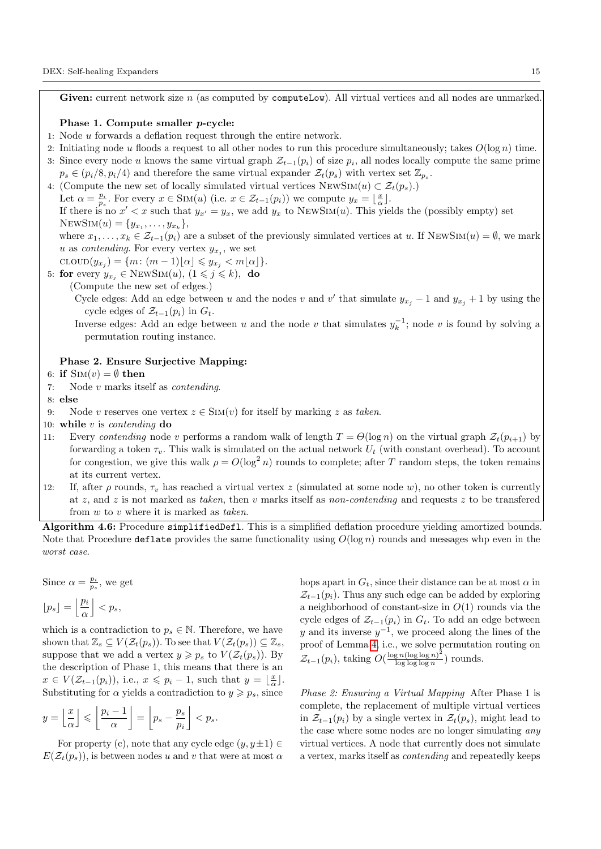Given: current network size  $n$  (as computed by computeLow). All virtual vertices and all nodes are unmarked.

## Phase 1. Compute smaller p-cycle:

- 1: Node u forwards a deflation request through the entire network.
- 2: Initiating node u floods a request to all other nodes to run this procedure simultaneously; takes  $O(\log n)$  time.
- 3: Since every node u knows the same virtual graph  $\mathcal{Z}_{t-1}(p_i)$  of size  $p_i$ , all nodes locally compute the same prime  $p_s \in (p_i/8, p_i/4)$  and therefore the same virtual expander  $\mathcal{Z}_t(p_s)$  with vertex set  $\mathbb{Z}_{p_s}$ .
- 4: (Compute the new set of locally simulated virtual vertices  $\text{NewSim}(u) \subset \mathcal{Z}_t(p_s)$ .)

Let  $\alpha = \frac{p_i}{p_s}$ . For every  $x \in \text{SIM}(u)$  (i.e.  $x \in \mathcal{Z}_{t-1}(p_i)$ ) we compute  $y_x = \lfloor \frac{x}{\alpha} \rfloor$ .

If there is no  $x' < x$  such that  $y_{x'} = y_x$ , we add  $y_x$  to NEWSIM(u). This yields the (possibly empty) set NEWSIM $(u) = \{y_{x_1}, \ldots, y_{x_k}\},\$ 

where  $x_1, \ldots, x_k \in \mathcal{Z}_{t-1}(p_i)$  are a subset of the previously simulated vertices at u. If NEWSIM $(u) = \emptyset$ , we mark u as *contending*. For every vertex  $y_{x_j}$ , we set

$$
\mathrm{CLOUD}(y_{x_j}) = \{m \colon (m-1)\lfloor \alpha \rfloor \leqslant y_{x_j} < m\lfloor \alpha \rfloor\}.
$$

5: for every 
$$
y_{x_j} \in \text{NEWSIM}(u)
$$
,  $(1 \leq j \leq k)$ , do

(Compute the new set of edges.)

Cycle edges: Add an edge between u and the nodes v and v' that simulate  $y_{x_j} - 1$  and  $y_{x_j} + 1$  by using the cycle edges of  $\mathcal{Z}_{t-1}(p_i)$  in  $G_t$ .

Inverse edges: Add an edge between u and the node v that simulates  $y_k^{-1}$ ; node v is found by solving a permutation routing instance.

#### Phase 2. Ensure Surjective Mapping:

## 6: if  $\text{Sim}(v) = \emptyset$  then

7: Node v marks itself as contending.

## 8: else

- 9: Node v reserves one vertex  $z \in \text{SIM}(v)$  for itself by marking z as taken.
- 10: while  $v$  is *contending* do
- 11: Every contending node v performs a random walk of length  $T = \Theta(\log n)$  on the virtual graph  $\mathcal{Z}_t(p_{i+1})$  by forwarding a token  $\tau_v$ . This walk is simulated on the actual network  $U_t$  (with constant overhead). To account for congestion, we give this walk  $\rho = O(\log^2 n)$  rounds to complete; after T random steps, the token remains at its current vertex.
- 12: If, after  $\rho$  rounds,  $\tau_v$  has reached a virtual vertex z (simulated at some node w), no other token is currently at z, and z is not marked as taken, then v marks itself as non-contending and requests z to be transfered from  $w$  to  $v$  where it is marked as taken.

<span id="page-14-0"></span>Algorithm 4.6: Procedure simplifiedDefl. This is a simplified deflation procedure yielding amortized bounds. Note that Procedure deflate provides the same functionality using  $O(\log n)$  rounds and messages whp even in the worst case.

Since 
$$
\alpha = \frac{p_i}{p_s}
$$
, we get  

$$
\lfloor p_s \rfloor = \left\lfloor \frac{p_i}{\alpha} \right\rfloor < p_s,
$$

which is a contradiction to  $p_s \in \mathbb{N}$ . Therefore, we have shown that  $\mathbb{Z}_s \subseteq V(\mathcal{Z}_t(p_s))$ . To see that  $V(\mathcal{Z}_t(p_s)) \subseteq \mathbb{Z}_s$ , suppose that we add a vertex  $y \geqslant p_s$  to  $V(\mathcal{Z}_t(p_s))$ . By the description of Phase 1, this means that there is an  $x \in V(\mathcal{Z}_{t-1}(p_i))$ , i.e.,  $x \leqslant p_i - 1$ , such that  $y = \lfloor \frac{x}{\alpha} \rfloor$ . Substituting for  $\alpha$  yields a contradiction to  $y \geq p_s$ , since

$$
y = \left\lfloor \frac{x}{\alpha} \right\rfloor \leqslant \left\lfloor \frac{p_i - 1}{\alpha} \right\rfloor = \left\lfloor p_s - \frac{p_s}{p_i} \right\rfloor < p_s.
$$

For property (c), note that any cycle edge  $(y, y \pm 1) \in$  $E(\mathcal{Z}_t(p_s))$ , is between nodes u and v that were at most  $\alpha$ 

hops apart in  $G_t$ , since their distance can be at most  $\alpha$  in  $\mathcal{Z}_{t-1}(p_i)$ . Thus any such edge can be added by exploring a neighborhood of constant-size in  $O(1)$  rounds via the cycle edges of  $\mathcal{Z}_{t-1}(p_i)$  in  $G_t$ . To add an edge between y and its inverse  $y^{-1}$ , we proceed along the lines of the proof of Lemma [4,](#page-9-4) i.e., we solve permutation routing on  $\mathcal{Z}_{t-1}(p_i)$ , taking  $O(\frac{\log n(\log \log n)^2}{\log \log \log n})$  $\frac{\lg n(\log \log n)}{\log \log \log n}$  rounds.

Phase 2: Ensuring a Virtual Mapping After Phase 1 is complete, the replacement of multiple virtual vertices in  $\mathcal{Z}_{t-1}(p_i)$  by a single vertex in  $\mathcal{Z}_t(p_s)$ , might lead to the case where some nodes are no longer simulating any virtual vertices. A node that currently does not simulate a vertex, marks itself as contending and repeatedly keeps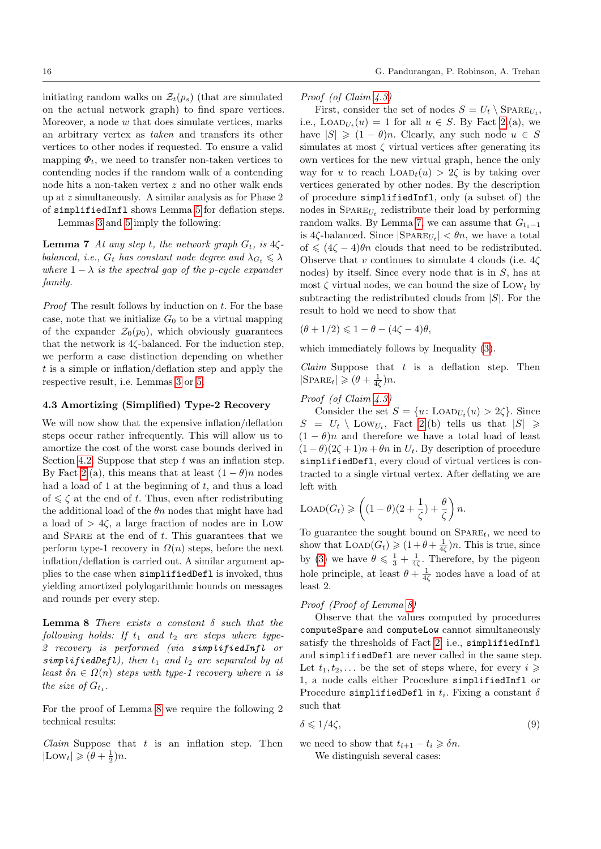initiating random walks on  $\mathcal{Z}_t(p_s)$  (that are simulated on the actual network graph) to find spare vertices. Moreover, a node w that does simulate vertices, marks an arbitrary vertex as taken and transfers its other vertices to other nodes if requested. To ensure a valid mapping  $\Phi_t$ , we need to transfer non-taken vertices to contending nodes if the random walk of a contending node hits a non-taken vertex z and no other walk ends up at z simultaneously. A similar analysis as for Phase 2 of simplifiedInfl shows Lemma [5](#page-11-1) for deflation steps.

Lemmas [3](#page-8-4) and [5](#page-11-1) imply the following:

**Lemma 7** At any step t, the network graph  $G_t$ , is  $4\zeta$ balanced, i.e.,  $G_t$  has constant node degree and  $\lambda_{G_t} \leq \lambda$ where  $1 - \lambda$  is the spectral gap of the p-cycle expander family.

*Proof* The result follows by induction on  $t$ . For the base case, note that we initialize  $G_0$  to be a virtual mapping of the expander  $\mathcal{Z}_0(p_0)$ , which obviously guarantees that the network is  $4\zeta$ -balanced. For the induction step, we perform a case distinction depending on whether  $t$  is a simple or inflation/deflation step and apply the respective result, i.e. Lemmas [3](#page-8-4) or [5.](#page-11-1)

#### 4.3 Amortizing (Simplified) Type-2 Recovery

We will now show that the expensive inflation/deflation steps occur rather infrequently. This will allow us to amortize the cost of the worst case bounds derived in Section [4.2.](#page-8-0) Suppose that step  $t$  was an inflation step. By Fact [2.](#page-8-3)(a), this means that at least  $(1 - \theta)n$  nodes had a load of 1 at the beginning of  $t$ , and thus a load of  $\leq \zeta$  at the end of t. Thus, even after redistributing the additional load of the  $\theta n$  nodes that might have had a load of  $> 4\zeta$ , a large fraction of nodes are in Low and SPARE at the end of  $t$ . This guarantees that we perform type-1 recovery in  $\Omega(n)$  steps, before the next inflation/deflation is carried out. A similar argument applies to the case when simplifiedDefl is invoked, thus yielding amortized polylogarithmic bounds on messages and rounds per every step.

<span id="page-15-0"></span>**Lemma 8** There exists a constant  $\delta$  such that the following holds: If  $t_1$  and  $t_2$  are steps where type-2 recovery is performed (via simplifiedInfl or simplifiedDefl), then  $t_1$  and  $t_2$  are separated by at least  $\delta n \in \Omega(n)$  steps with type-1 recovery where n is the size of  $G_{t_1}$ .

For the proof of Lemma [8](#page-15-0) we require the following 2 technical results:

Claim Suppose that  $t$  is an inflation step. Then  $|\text{Low}_t| \geqslant (\theta + \frac{1}{2})n.$ 

Proof (of Claim [4.3\)](#page-15-0)

<span id="page-15-1"></span>First, consider the set of nodes  $S = U_t \setminus \text{SPARE}_{U_t}$ , i.e.,  $\text{LOAD}_{U_t}(u) = 1$  for all  $u \in S$ . By Fact [2.](#page-8-3)(a), we have  $|S| \geq (1 - \theta)n$ . Clearly, any such node  $u \in S$ simulates at most  $\zeta$  virtual vertices after generating its own vertices for the new virtual graph, hence the only way for u to reach  $LOAD<sub>t</sub>(u) > 2\zeta$  is by taking over vertices generated by other nodes. By the description of procedure simplifiedInfl, only (a subset of) the nodes in  $\text{SPARE}_{U_t}$  redistribute their load by performing random walks. By Lemma [7,](#page-15-1) we can assume that  $G_{t_1-1}$ is 4 $\zeta$ -balanced. Since  $|\text{SPARE}_{U_t}| < \theta n$ , we have a total of  $\leqslant (4\zeta - 4)\theta n$  clouds that need to be redistributed. Observe that v continues to simulate 4 clouds (i.e.  $4\zeta$ ) nodes) by itself. Since every node that is in S, has at most  $\zeta$  virtual nodes, we can bound the size of LOW<sub>t</sub> by subtracting the redistributed clouds from  $|S|$ . For the result to hold we need to show that

$$
(\theta + 1/2) \leq 1 - \theta - (4\zeta - 4)\theta,
$$

which immediately follows by Inequality [\(3\)](#page-6-1).

*Claim* Suppose that  $t$  is a deflation step. Then  $|\text{SPACE}_{t}| \geqslant (\theta + \frac{1}{4\zeta})n.$ 

## Proof (of Claim [4.3\)](#page-15-0)

Consider the set  $S = \{u : \text{LOAD}_{U_t}(u) > 2\zeta\}$ . Since  $S = U_t \setminus \text{Low}_{U_t}$ , Fact [2.](#page-8-3)(b) tells us that  $|S| \geq$  $(1 - \theta)n$  and therefore we have a total load of least  $(1 - \theta)(2\zeta + 1)n + \theta n$  in  $U_t$ . By description of procedure simplifiedDefl, every cloud of virtual vertices is contracted to a single virtual vertex. After deflating we are left with

$$
LOAD(G_t) \geqslant \left( (1-\theta)(2+\frac{1}{\zeta})+\frac{\theta}{\zeta} \right) n.
$$

To guarantee the sought bound on  $SPARE_t$ , we need to show that  $\text{LOAD}(G_t) \geq (1 + \theta + \frac{1}{4\zeta})n$ . This is true, since by [\(3\)](#page-6-1) we have  $\theta \leq \frac{1}{3} + \frac{1}{4\zeta}$ . Therefore, by the pigeon hole principle, at least  $\theta + \frac{1}{4\zeta}$  nodes have a load of at least 2.

#### Proof (Proof of Lemma [8\)](#page-15-0)

Observe that the values computed by procedures computeSpare and computeLow cannot simultaneously satisfy the thresholds of Fact [2,](#page-8-3) i.e., simplifiedInfl and simplifiedDefl are never called in the same step. Let  $t_1, t_2, \ldots$  be the set of steps where, for every  $i \geqslant$ 1, a node calls either Procedure simplifiedInfl or Procedure simplifiedDefl in  $t_i$ . Fixing a constant  $\delta$ such that

$$
\delta \leqslant 1/4\zeta,\tag{9}
$$

we need to show that  $t_{i+1} - t_i \geq \delta n$ . We distinguish several cases: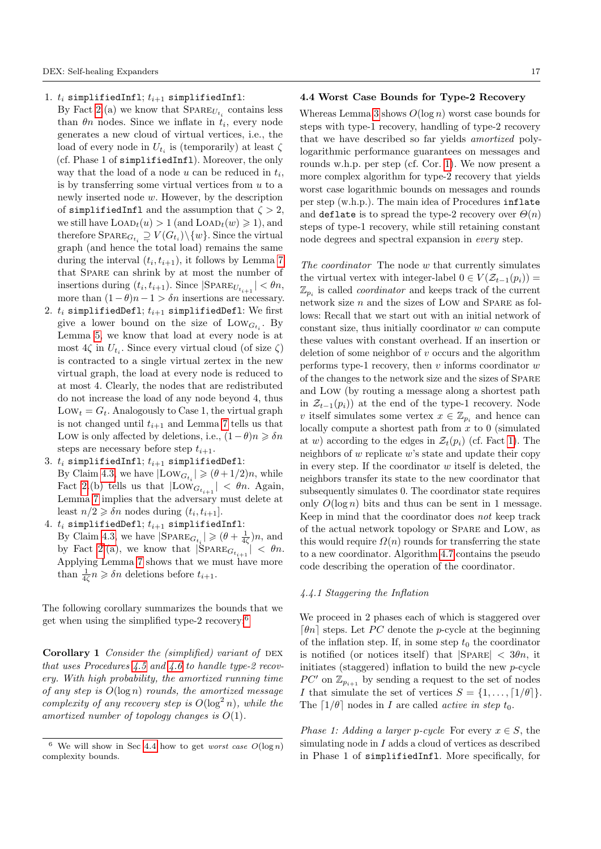- 1.  $t_i$  simplifiedInfl;  $t_{i+1}$  simplifiedInfl:
	- By Fact [2.](#page-8-3)(a) we know that  $\textsc{SPARE}_{U_{t_i}}$  contains less than  $\theta n$  nodes. Since we inflate in  $t_i$ , every node generates a new cloud of virtual vertices, i.e., the load of every node in  $U_{t_i}$  is (temporarily) at least  $\zeta$ (cf. Phase 1 of simplifiedInfl). Moreover, the only way that the load of a node  $u$  can be reduced in  $t_i$ , is by transferring some virtual vertices from  $u$  to a newly inserted node w. However, by the description of simplifiedInfl and the assumption that  $\zeta > 2$ , we still have  $\text{LOAD}_t(u) > 1$  (and  $\text{LOAD}_t(w) \geq 1$ ), and therefore  $\textsc{Sparse}_{G_{t_i}} \supseteq V(G_{t_i}) \setminus \{w\}$ . Since the virtual graph (and hence the total load) remains the same during the interval  $(t_i, t_{i+1})$ , it follows by Lemma [7](#page-15-1) that Spare can shrink by at most the number of insertions during  $(t_i, t_{i+1})$ . Since  $|\text{SPARE}_{U_{t_{i+1}}} | < \theta n$ , more than  $(1 - \theta)n - 1 > \delta n$  insertions are necessary.
- 2.  $t_i$  simplifiedDefl;  $t_{i+1}$  simplifiedDefl: We first give a lower bound on the size of  $\text{Low}_{G_{t_i}}$ . By Lemma [5,](#page-11-1) we know that load at every node is at most  $4\zeta$  in  $U_{t_i}$ . Since every virtual cloud (of size  $\zeta$ ) is contracted to a single virtual zertex in the new virtual graph, the load at every node is reduced to at most 4. Clearly, the nodes that are redistributed do not increase the load of any node beyond 4, thus  $Low_t = G_t$ . Analogously to Case 1, the virtual graph is not changed until  $t_{i+1}$  and Lemma [7](#page-15-1) tells us that Low is only affected by deletions, i.e.,  $(1 - \theta)n \geq \delta n$ steps are necessary before step  $t_{i+1}$ .
- 3.  $t_i$  simplifiedInfl;  $t_{i+1}$  simplifiedDefl: By Claim [4.3,](#page-15-0) we have  $|\text{Low}_{G_{t_i}}| \geqslant (\theta + 1/2)n$ , while Fact [2.](#page-8-3)(b) tells us that  $|Low_{G_{t_{i+1}}}| < \theta n$ . Again, Lemma [7](#page-15-1) implies that the adversary must delete at least  $n/2 \geq \delta n$  nodes during  $(t_i, t_{i+1}]$ .
- 4.  $t_i$  simplifiedDefl;  $t_{i+1}$  simplifiedInfl: By Claim [4.3,](#page-15-0) we have  $|\text{SPARE}_{G_{t_i}}| \geqslant (\theta + \frac{1}{4\zeta})n$ , and by Fact [2.](#page-8-3)(a), we know that  $|\text{SPARE}_{G_{t_{i+1}}}| < \theta n$ . Applying Lemma [7](#page-15-1) shows that we must have more than  $\frac{1}{4\zeta}n \geqslant \delta n$  deletions before  $t_{i+1}$ .

The following corollary summarizes the bounds that we get when using the simplified type-2 recovery:[6](#page-0-0)

Corollary 1 Consider the (simplified) variant of  $DEX$ that uses Procedures  $4.5$  and  $4.6$  to handle type-2 recovery. With high probability, the amortized running time of any step is  $O(\log n)$  rounds, the amortized message complexity of any recovery step is  $O(\log^2 n)$ , while the amortized number of topology changes is  $O(1)$ .

## <span id="page-16-0"></span>4.4 Worst Case Bounds for Type-2 Recovery

Whereas Lemma [3](#page-8-4) shows  $O(\log n)$  worst case bounds for steps with type-1 recovery, handling of type-2 recovery that we have described so far yields amortized polylogarithmic performance guarantees on messages and rounds w.h.p. per step (cf. Cor. [1\)](#page-16-1). We now present a more complex algorithm for type-2 recovery that yields worst case logarithmic bounds on messages and rounds per step (w.h.p.). The main idea of Procedures inflate and deflate is to spread the type-2 recovery over  $\Theta(n)$ steps of type-1 recovery, while still retaining constant node degrees and spectral expansion in every step.

The coordinator The node w that currently simulates the virtual vertex with integer-label  $0 \in V(\mathcal{Z}_{t-1}(p_i)) =$  $\mathbb{Z}_{p_i}$  is called *coordinator* and keeps track of the current network size  $n$  and the sizes of LOW and SPARE as follows: Recall that we start out with an initial network of  $constant$  size, thus initially coordinator  $w$  can compute these values with constant overhead. If an insertion or deletion of some neighbor of  $v$  occurs and the algorithm performs type-1 recovery, then  $v$  informs coordinator  $w$ of the changes to the network size and the sizes of Spare and Low (by routing a message along a shortest path in  $\mathcal{Z}_{t-1}(p_i)$  at the end of the type-1 recovery. Node v itself simulates some vertex  $x \in \mathbb{Z}_{p_i}$  and hence can locally compute a shortest path from  $x$  to 0 (simulated at w) according to the edges in  $\mathcal{Z}_t(p_i)$  (cf. Fact [1\)](#page-5-5). The neighbors of  $w$  replicate  $w$ 's state and update their copy in every step. If the coordinator  $w$  itself is deleted, the neighbors transfer its state to the new coordinator that subsequently simulates 0. The coordinator state requires only  $O(\log n)$  bits and thus can be sent in 1 message. Keep in mind that the coordinator does not keep track of the actual network topology or Spare and Low, as this would require  $\Omega(n)$  rounds for transferring the state to a new coordinator. Algorithm [4.7](#page-17-0) contains the pseudo code describing the operation of the coordinator.

## 4.4.1 Staggering the Inflation

<span id="page-16-1"></span>We proceed in 2 phases each of which is staggered over  $\lceil \theta n \rceil$  steps. Let PC denote the p-cycle at the beginning of the inflation step. If, in some step  $t_0$  the coordinator is notified (or notices itself) that  $|SPARE| < 3\theta n$ , it initiates (staggered) inflation to build the new p-cycle PC' on  $\mathbb{Z}_{p_{i+1}}$  by sending a request to the set of nodes I that simulate the set of vertices  $S = \{1, \ldots, \lceil 1/\theta \rceil\}.$ The  $\lceil 1/\theta \rceil$  nodes in I are called *active in step t*<sub>0</sub>.

Phase 1: Adding a larger p-cycle For every  $x \in S$ , the simulating node in I adds a cloud of vertices as described in Phase 1 of simplifiedInfl. More specifically, for

<sup>&</sup>lt;sup>6</sup> We will show in Sec [4.4](#page-16-0) how to get *worst case*  $O(\log n)$ complexity bounds.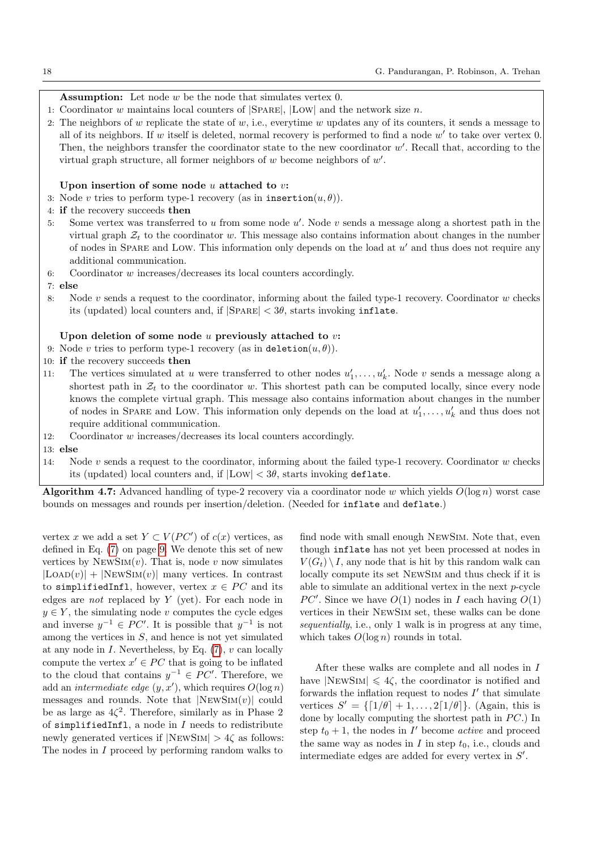## **Assumption:** Let node  $w$  be the node that simulates vertex  $0$ .

- 1: Coordinator w maintains local counters of  $|SPARE|$ ,  $|Low|$  and the network size n.
- 2: The neighbors of  $w$  replicate the state of  $w$ , i.e., everytime  $w$  updates any of its counters, it sends a message to all of its neighbors. If w itself is deleted, normal recovery is performed to find a node  $w'$  to take over vertex 0. Then, the neighbors transfer the coordinator state to the new coordinator  $w'$ . Recall that, according to the virtual graph structure, all former neighbors of  $w$  become neighbors of  $w'$ .

#### Upon insertion of some node  $u$  attached to  $v$ :

- 3: Node v tries to perform type-1 recovery (as in insertion $(u, \theta)$ ).
- 4: if the recovery succeeds then
- 5: Some vertex was transferred to  $u$  from some node  $u'$ . Node  $v$  sends a message along a shortest path in the virtual graph  $Z_t$  to the coordinator w. This message also contains information about changes in the number of nodes in SPARE and LOW. This information only depends on the load at  $u'$  and thus does not require any additional communication.
- 6: Coordinator  $w$  increases/decreases its local counters accordingly.
- 7: else
- 8: Node v sends a request to the coordinator, informing about the failed type-1 recovery. Coordinator w checks its (updated) local counters and, if  $|SPARE| < 3\theta$ , starts invoking inflate.

## Upon deletion of some node  $u$  previously attached to  $v$ :

- 9: Node v tries to perform type-1 recovery (as in deletion $(u, \theta)$ ).
- 10: if the recovery succeeds then
- 11: The vertices simulated at u were transferred to other nodes  $u'_1, \ldots, u'_k$ . Node v sends a message along a shortest path in  $\mathcal{Z}_t$  to the coordinator w. This shortest path can be computed locally, since every node knows the complete virtual graph. This message also contains information about changes in the number of nodes in SPARE and LOW. This information only depends on the load at  $u'_1, \ldots, u'_k$  and thus does not require additional communication.
- 12: Coordinator w increases/decreases its local counters accordingly.
- 13: else
- 14: Node v sends a request to the coordinator, informing about the failed type-1 recovery. Coordinator w checks its (updated) local counters and, if  $|Low| < 3\theta$ , starts invoking deflate.

<span id="page-17-0"></span>**Algorithm 4.7:** Advanced handling of type-2 recovery via a coordinator node w which yields  $O(\log n)$  worst case bounds on messages and rounds per insertion/deletion. (Needed for inflate and deflate.)

vertex x we add a set  $Y \subset V(PC')$  of  $c(x)$  vertices, as defined in Eq. [\(7\)](#page-8-1) on page [9.](#page-8-1) We denote this set of new vertices by  $NEWSim(v)$ . That is, node v now simulates  $|$ LOAD $(v)$  +  $|$ NEWSIM $(v)$  many vertices. In contrast to simplifiedInfl, however, vertex  $x \in PC$  and its edges are *not* replaced by  $Y$  (yet). For each node in  $y \in Y$ , the simulating node v computes the cycle edges and inverse  $y^{-1} \in PC'$ . It is possible that  $y^{-1}$  is not among the vertices in  $S$ , and hence is not yet simulated at any node in  $I$ . Nevertheless, by Eq.  $(7)$ ,  $v$  can locally compute the vertex  $x' \in PC$  that is going to be inflated to the cloud that contains  $y^{-1} \in PC'$ . Therefore, we add an *intermediate edge*  $(y, x')$ , which requires  $O(\log n)$ messages and rounds. Note that  $|NEWSM(v)|$  could be as large as  $4\zeta^2$ . Therefore, similarly as in Phase 2 of simplifiedInfl, a node in  $I$  needs to redistribute newly generated vertices if  $|NEWSM| > 4\zeta$  as follows: The nodes in I proceed by performing random walks to

find node with small enough NewSim. Note that, even though inflate has not yet been processed at nodes in  $V(G_t) \setminus I$ , any node that is hit by this random walk can locally compute its set NewSim and thus check if it is able to simulate an additional vertex in the next  $p$ -cycle PC'. Since we have  $O(1)$  nodes in I each having  $O(1)$ vertices in their NewSim set, these walks can be done sequentially, i.e., only 1 walk is in progress at any time, which takes  $O(\log n)$  rounds in total.

After these walks are complete and all nodes in I have  $|NEWSM| \leq 4\zeta$ , the coordinator is notified and forwards the inflation request to nodes  $I'$  that simulate vertices  $S' = \{ [1/\theta] + 1, \ldots, 2[1/\theta] \}.$  (Again, this is done by locally computing the shortest path in  $PC$ .) In step  $t_0 + 1$ , the nodes in I' become *active* and proceed the same way as nodes in  $I$  in step  $t_0$ , i.e., clouds and intermediate edges are added for every vertex in  $S'$ .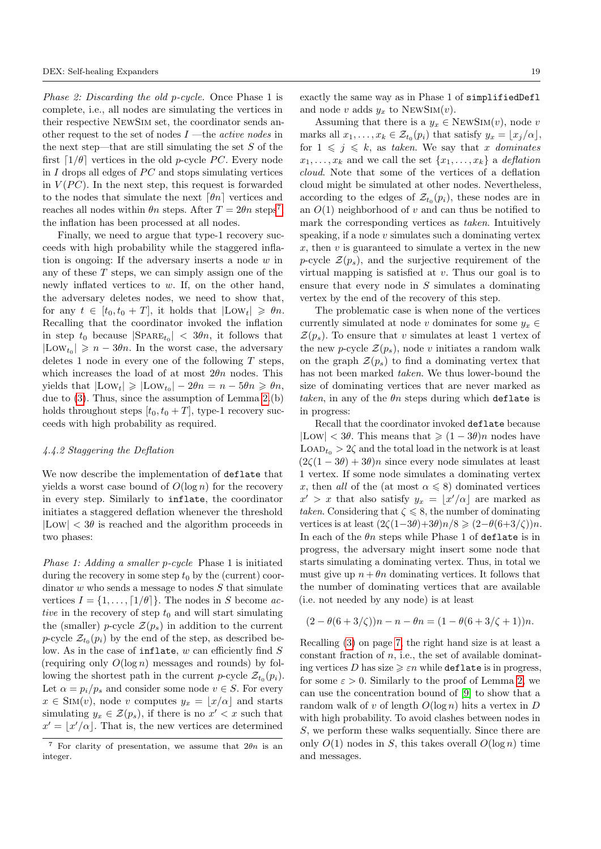Phase 2: Discarding the old p-cycle. Once Phase 1 is complete, i.e., all nodes are simulating the vertices in their respective NewSim set, the coordinator sends another request to the set of nodes  $I$  —the *active nodes* in the next step—that are still simulating the set  $S$  of the first  $\lceil 1/\theta \rceil$  vertices in the old p-cycle PC. Every node in  $I$  drops all edges of  $PC$  and stops simulating vertices in  $V(PC)$ . In the next step, this request is forwarded to the nodes that simulate the next  $\lceil \theta n \rceil$  vertices and reaches all nodes within  $\theta n$  steps. After  $T = 2\theta n$  steps<sup>[7](#page-0-0)</sup>, the inflation has been processed at all nodes.

Finally, we need to argue that type-1 recovery succeeds with high probability while the staggered inflation is ongoing: If the adversary inserts a node w in any of these  $T$  steps, we can simply assign one of the newly inflated vertices to w. If, on the other hand, the adversary deletes nodes, we need to show that, for any  $t \in [t_0, t_0 + T]$ , it holds that  $|Low_t| \geq \theta n$ . Recalling that the coordinator invoked the inflation in step  $t_0$  because  $|\text{SPARE}_{t_0}| < 3\theta n$ , it follows that  $|\text{Low}_{t_0}| \geqslant n - 3\theta n$ . In the worst case, the adversary deletes 1 node in every one of the following  $T$  steps, which increases the load of at most  $2\theta n$  nodes. This yields that  $|\text{Low}_t| \geq |\text{Low}_{t_0}| - 2\theta n = n - 5\theta n \geq \theta n$ , due to [\(3\)](#page-6-1). Thus, since the assumption of Lemma [2.](#page-6-0)(b) holds throughout steps  $[t_0, t_0 + T]$ , type-1 recovery succeeds with high probability as required.

#### 4.4.2 Staggering the Deflation

We now describe the implementation of deflate that yields a worst case bound of  $O(\log n)$  for the recovery in every step. Similarly to inflate, the coordinator initiates a staggered deflation whenever the threshold  $|Low| < 3\theta$  is reached and the algorithm proceeds in two phases:

Phase 1: Adding a smaller p-cycle Phase 1 is initiated during the recovery in some step  $t_0$  by the (current) coordinator  $w$  who sends a message to nodes  $S$  that simulate vertices  $I = \{1, \ldots, \lceil 1/\theta \rceil\}$ . The nodes in S become active in the recovery of step  $t_0$  and will start simulating the (smaller) p-cycle  $\mathcal{Z}(p_s)$  in addition to the current *p*-cycle  $\mathcal{Z}_{t_0}(p_i)$  by the end of the step, as described below. As in the case of inflate,  $w$  can efficiently find  $S$ (requiring only  $O(\log n)$  messages and rounds) by following the shortest path in the current p-cycle  $\mathcal{Z}_{t_0}(p_i)$ . Let  $\alpha = p_i/p_s$  and consider some node  $v \in S$ . For every  $x \in \text{SIM}(v)$ , node v computes  $y_x = \lfloor x/\alpha \rfloor$  and starts simulating  $y_x \in \mathcal{Z}(p_s)$ , if there is no  $x' < x$  such that  $x' = \lfloor x'/\alpha \rfloor$ . That is, the new vertices are determined

exactly the same way as in Phase 1 of simplifiedDefl and node v adds  $y_x$  to NEWSIM(v).

Assuming that there is a  $y_x \in \text{NEWSIM}(v)$ , node v marks all  $x_1, \ldots, x_k \in \mathcal{Z}_{t_0}(p_i)$  that satisfy  $y_x = \lfloor x_j/\alpha \rfloor$ , for  $1 \leqslant j \leqslant k$ , as taken. We say that x dominates  $x_1, \ldots, x_k$  and we call the set  $\{x_1, \ldots, x_k\}$  a *deflation* cloud. Note that some of the vertices of a deflation cloud might be simulated at other nodes. Nevertheless, according to the edges of  $\mathcal{Z}_{t_0}(p_i)$ , these nodes are in an  $O(1)$  neighborhood of v and can thus be notified to mark the corresponding vertices as *taken*. Intuitively speaking, if a node  $v$  simulates such a dominating vertex  $x$ , then  $v$  is guaranteed to simulate a vertex in the new p-cycle  $\mathcal{Z}(p_s)$ , and the surjective requirement of the virtual mapping is satisfied at  $v$ . Thus our goal is to ensure that every node in  $S$  simulates a dominating vertex by the end of the recovery of this step.

The problematic case is when none of the vertices currently simulated at node v dominates for some  $y_x \in$  $\mathcal{Z}(p_s)$ . To ensure that v simulates at least 1 vertex of the new p-cycle  $\mathcal{Z}(p_s)$ , node v initiates a random walk on the graph  $\mathcal{Z}(p_s)$  to find a dominating vertex that has not been marked taken. We thus lower-bound the size of dominating vertices that are never marked as taken, in any of the  $\theta$ n steps during which deflate is in progress:

Recall that the coordinator invoked deflate because  $|Low| < 3\theta$ . This means that  $\geq (1 - 3\theta)n$  nodes have  $\text{LOAD}_{t_0} > 2\zeta$  and the total load in the network is at least  $(2\zeta(1-3\theta) + 3\theta)n$  since every node simulates at least 1 vertex. If some node simulates a dominating vertex x, then all of the (at most  $\alpha \leq 8$ ) dominated vertices  $x' > x$  that also satisfy  $y_x = \lfloor x'/\alpha \rfloor$  are marked as taken. Considering that  $\zeta \leq 8$ , the number of dominating vertices is at least  $(2\zeta(1-3\theta)+3\theta)n/8 \geq (2-\theta(6+3/\zeta))n$ . In each of the  $\theta$ n steps while Phase 1 of deflate is in progress, the adversary might insert some node that starts simulating a dominating vertex. Thus, in total we must give up  $n + \theta n$  dominating vertices. It follows that the number of dominating vertices that are available (i.e. not needed by any node) is at least

$$
(2 - \theta(6 + 3/\zeta))n - n - \theta n = (1 - \theta(6 + 3/\zeta + 1))n.
$$

Recalling [\(3\)](#page-6-1) on page [7,](#page-6-1) the right hand size is at least a constant fraction of  $n$ , i.e., the set of available dominating vertices D has size  $\geq \varepsilon n$  while deflate is in progress. for some  $\varepsilon > 0$ . Similarly to the proof of Lemma [2,](#page-6-0) we can use the concentration bound of [\[9\]](#page-22-9) to show that a random walk of v of length  $O(\log n)$  hits a vertex in D with high probability. To avoid clashes between nodes in S, we perform these walks sequentially. Since there are only  $O(1)$  nodes in S, this takes overall  $O(\log n)$  time and messages.

<sup>&</sup>lt;sup>7</sup> For clarity of presentation, we assume that  $2\theta n$  is an integer.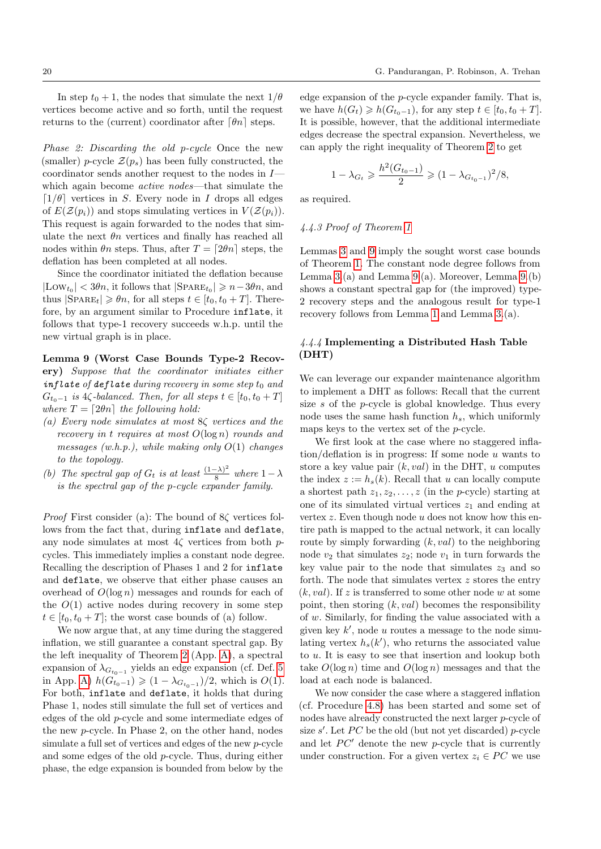In step  $t_0 + 1$ , the nodes that simulate the next  $1/\theta$ vertices become active and so forth, until the request returns to the (current) coordinator after  $\lceil \theta n \rceil$  steps.

Phase 2: Discarding the old p-cycle Once the new (smaller) p-cycle  $\mathcal{Z}(p_s)$  has been fully constructed, the coordinator sends another request to the nodes in I which again become active nodes—that simulate the  $\lceil 1/\theta \rceil$  vertices in S. Every node in I drops all edges of  $E(\mathcal{Z}(p_i))$  and stops simulating vertices in  $V(\mathcal{Z}(p_i))$ . This request is again forwarded to the nodes that simulate the next  $\theta n$  vertices and finally has reached all nodes within  $\theta_n$  steps. Thus, after  $T = \lfloor 2\theta_n \rfloor$  steps, the deflation has been completed at all nodes.

Since the coordinator initiated the deflation because  $|\text{Low}_{t_0}| < 3\theta n$ , it follows that  $|\text{SPARE}_{t_0}| \geqslant n-3\theta n$ , and thus  $|\text{SPARE}_t| \geqslant \theta n$ , for all steps  $t \in [t_0, t_0 + T]$ . Therefore, by an argument similar to Procedure inflate, it follows that type-1 recovery succeeds w.h.p. until the new virtual graph is in place.

<span id="page-19-1"></span>Lemma 9 (Worst Case Bounds Type-2 Recovery) Suppose that the coordinator initiates either inflate of deflate during recovery in some step  $t_0$  and  $G_{t_0-1}$  is 4 $\zeta$ -balanced. Then, for all steps  $t \in [t_0, t_0 + T]$ where  $T = \lfloor 2\theta n \rfloor$  the following hold:

- (a) Every node simulates at most  $8\zeta$  vertices and the recovery in t requires at most  $O(\log n)$  rounds and messages (w.h.p.), while making only  $O(1)$  changes to the topology.
- (b) The spectral gap of  $G_t$  is at least  $\frac{(1-\lambda)^2}{8}$  $\frac{(-\lambda)}{8}$  where  $1-\lambda$ is the spectral gap of the p-cycle expander family.

*Proof* First consider (a): The bound of  $8\zeta$  vertices follows from the fact that, during inflate and deflate, any node simulates at most  $4\zeta$  vertices from both pcycles. This immediately implies a constant node degree. Recalling the description of Phases 1 and 2 for inflate and deflate, we observe that either phase causes an overhead of  $O(\log n)$  messages and rounds for each of the  $O(1)$  active nodes during recovery in some step  $t \in [t_0, t_0 + T]$ ; the worst case bounds of (a) follow.

We now argue that, at any time during the staggered inflation, we still guarantee a constant spectral gap. By the left inequality of Theorem [2](#page-23-0) (App. [A\)](#page-22-11), a spectral expansion of  $\lambda_{G_{t_0-1}}$  yields an edge expansion (cf. Def. [5](#page-23-4) in App. [A\)](#page-22-11)  $h(G_{t_0-1}^{\nu}) \geq (1 - \lambda_{G_{t_0-1}})/2$ , which is  $O(1)$ . For both, inflate and deflate, it holds that during Phase 1, nodes still simulate the full set of vertices and edges of the old p-cycle and some intermediate edges of the new p-cycle. In Phase 2, on the other hand, nodes simulate a full set of vertices and edges of the new p-cycle and some edges of the old p-cycle. Thus, during either phase, the edge expansion is bounded from below by the

edge expansion of the  $p$ -cycle expander family. That is, we have  $h(G_t) \geq h(G_{t_0-1})$ , for any step  $t \in [t_0, t_0 + T]$ . It is possible, however, that the additional intermediate edges decrease the spectral expansion. Nevertheless, we can apply the right inequality of Theorem [2](#page-23-0) to get

$$
1 - \lambda_{G_t} \geq \frac{h^2(G_{t_0 - 1})}{2} \geq (1 - \lambda_{G_{t_0 - 1}})^2 / 8,
$$

as required.

## 4.4.3 Proof of Theorem [1](#page-1-0)

Lemmas [3](#page-8-4) and [9](#page-19-1) imply the sought worst case bounds of Theorem [1.](#page-1-0) The constant node degree follows from Lemma [3.](#page-8-4)(a) and Lemma [9.](#page-19-1)(a). Moreover, Lemma [9.](#page-19-1)(b) shows a constant spectral gap for (the improved) type-2 recovery steps and the analogous result for type-1 recovery follows from Lemma [1](#page-5-2) and Lemma [3.](#page-8-4)(a).

# <span id="page-19-0"></span>4.4.4 Implementing a Distributed Hash Table (DHT)

We can leverage our expander maintenance algorithm to implement a DHT as follows: Recall that the current size s of the p-cycle is global knowledge. Thus every node uses the same hash function  $h_s$ , which uniformly maps keys to the vertex set of the p-cycle.

We first look at the case where no staggered inflation/deflation is in progress: If some node  $u$  wants to store a key value pair  $(k, val)$  in the DHT, u computes the index  $z := h_s(k)$ . Recall that u can locally compute a shortest path  $z_1, z_2, \ldots, z$  (in the *p*-cycle) starting at one of its simulated virtual vertices  $z_1$  and ending at vertex  $z$ . Even though node  $u$  does not know how this entire path is mapped to the actual network, it can locally route by simply forwarding  $(k, val)$  to the neighboring node  $v_2$  that simulates  $z_2$ ; node  $v_1$  in turn forwards the key value pair to the node that simulates  $z_3$  and so forth. The node that simulates vertex  $z$  stores the entry  $(k, val)$ . If z is transferred to some other node w at some point, then storing  $(k, val)$  becomes the responsibility of w. Similarly, for finding the value associated with a given key  $k'$ , node  $u$  routes a message to the node simulating vertex  $h_s(k')$ , who returns the associated value to u. It is easy to see that insertion and lookup both take  $O(\log n)$  time and  $O(\log n)$  messages and that the load at each node is balanced.

We now consider the case where a staggered inflation (cf. Procedure [4.8\)](#page-20-0) has been started and some set of nodes have already constructed the next larger p-cycle of size  $s'$ . Let  $PC$  be the old (but not yet discarded) p-cycle and let  $PC'$  denote the new p-cycle that is currently under construction. For a given vertex  $z_i \in PC$  we use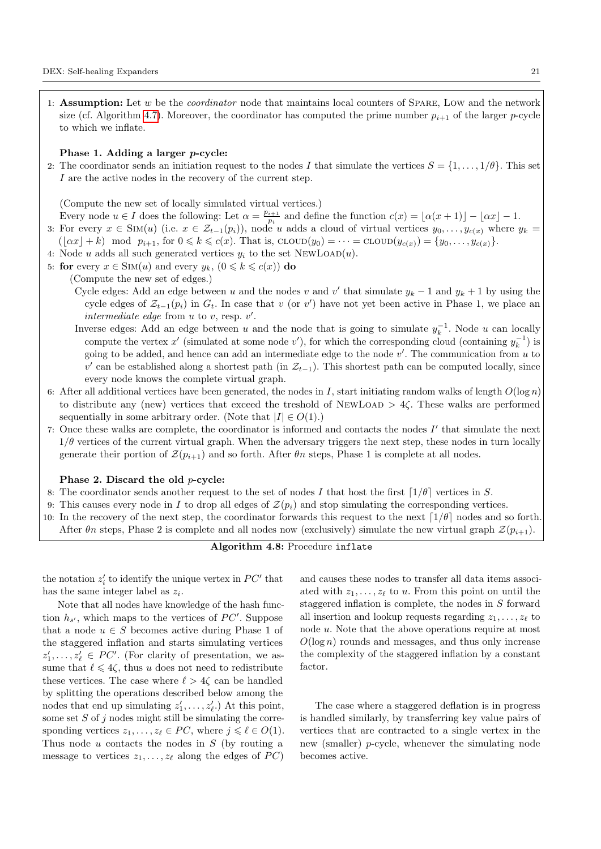1: **Assumption:** Let w be the *coordinator* node that maintains local counters of SPARE, LOW and the network size (cf. Algorithm [4.7\)](#page-17-0). Moreover, the coordinator has computed the prime number  $p_{i+1}$  of the larger p-cycle to which we inflate.

### Phase 1. Adding a larger p-cycle:

2: The coordinator sends an initiation request to the nodes I that simulate the vertices  $S = \{1, \ldots, 1/\theta\}$ . This set I are the active nodes in the recovery of the current step.

(Compute the new set of locally simulated virtual vertices.)

Every node  $u \in I$  does the following: Let  $\alpha = \frac{p_{i+1}}{p_i}$  $\frac{i+1}{p_i}$  and define the function  $c(x) = [\alpha(x + 1)] - [\alpha x] - 1.$ 

- 3: For every  $x \in \text{Sim}(u)$  (i.e.  $x \in \mathcal{Z}_{t-1}(p_i)$ ), node u adds a cloud of virtual vertices  $y_0, \ldots, y_{c(x)}$  where  $y_k =$  $(\lfloor \alpha x \rfloor + k) \mod p_{i+1}$ , for  $0 \leq k \leq c(x)$ . That is,  $\text{cLOW}(y_0) = \cdots = \text{cLOW}(y_{c(x)}) = \{y_0, \ldots, y_{c(x)}\}.$
- 
- 4: Node u adds all such generated vertices  $y_i$  to the set NEWLOAD(u).
- 5: for every  $x \in \text{SIM}(u)$  and every  $y_k$ ,  $(0 \leq k \leq c(x))$  do
	- (Compute the new set of edges.)
		- Cycle edges: Add an edge between u and the nodes v and v' that simulate  $y_k 1$  and  $y_k + 1$  by using the cycle edges of  $\mathcal{Z}_{t-1}(p_i)$  in  $G_t$ . In case that v (or v') have not yet been active in Phase 1, we place an intermediate edge from  $u$  to  $v$ , resp.  $v'$ .
		- Inverse edges: Add an edge between u and the node that is going to simulate  $y_k^{-1}$ . Node u can locally compute the vertex  $x'$  (simulated at some node  $v'$ ), for which the corresponding cloud (containing  $y_k^{-1}$ ) is going to be added, and hence can add an intermediate edge to the node  $v'$ . The communication from  $u$  to v' can be established along a shortest path (in  $\mathcal{Z}_{t-1}$ ). This shortest path can be computed locally, since every node knows the complete virtual graph.
- 6: After all additional vertices have been generated, the nodes in I, start initiating random walks of length  $O(\log n)$ to distribute any (new) vertices that exceed the treshold of NEWLOAD  $> 4\zeta$ . These walks are performed sequentially in some arbitrary order. (Note that  $|I| \in O(1)$ .)
- 7: Once these walks are complete, the coordinator is informed and contacts the nodes  $I'$  that simulate the next  $1/\theta$  vertices of the current virtual graph. When the adversary triggers the next step, these nodes in turn locally generate their portion of  $\mathcal{Z}(p_{i+1})$  and so forth. After  $\theta_n$  steps, Phase 1 is complete at all nodes.

## Phase 2. Discard the old p-cycle:

- 8: The coordinator sends another request to the set of nodes I that host the first  $(1/\theta)$  vertices in S.
- 9: This causes every node in I to drop all edges of  $\mathcal{Z}(p_i)$  and stop simulating the corresponding vertices.
- <span id="page-20-0"></span>10: In the recovery of the next step, the coordinator forwards this request to the next  $\lceil 1/\theta \rceil$  nodes and so forth. After  $\theta_n$  steps, Phase 2 is complete and all nodes now (exclusively) simulate the new virtual graph  $\mathcal{Z}(p_{i+1})$ .

# Algorithm 4.8: Procedure inflate

the notation  $z_i'$  to identify the unique vertex in  $PC'$  that has the same integer label as  $z_i$ .

Note that all nodes have knowledge of the hash function  $h_{s'}$ , which maps to the vertices of  $PC'$ . Suppose that a node  $u \in S$  becomes active during Phase 1 of the staggered inflation and starts simulating vertices  $z'_1, \ldots, z'_\ell \in PC'$ . (For clarity of presentation, we assume that  $\ell \leq 4\zeta$ , thus u does not need to redistribute these vertices. The case where  $\ell > 4\zeta$  can be handled by splitting the operations described below among the nodes that end up simulating  $z'_1, \ldots, z'_{\ell}$ . At this point, some set  $S$  of  $j$  nodes might still be simulating the corresponding vertices  $z_1, \ldots, z_\ell \in PC$ , where  $j \leq \ell \in O(1)$ . Thus node  $u$  contacts the nodes in  $S$  (by routing a message to vertices  $z_1, \ldots, z_\ell$  along the edges of  $PC$ ) and causes these nodes to transfer all data items associated with  $z_1, \ldots, z_\ell$  to u. From this point on until the staggered inflation is complete, the nodes in  $S$  forward all insertion and lookup requests regarding  $z_1, \ldots, z_\ell$  to node u. Note that the above operations require at most  $O(\log n)$  rounds and messages, and thus only increase the complexity of the staggered inflation by a constant factor.

The case where a staggered deflation is in progress is handled similarly, by transferring key value pairs of vertices that are contracted to a single vertex in the new (smaller)  $p$ -cycle, whenever the simulating node becomes active.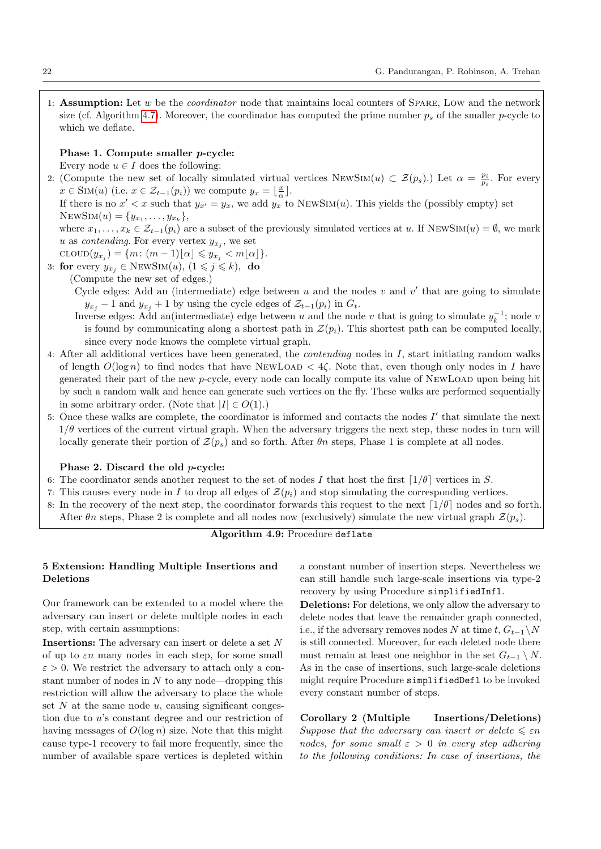1: Assumption: Let  $w$  be the *coordinator* node that maintains local counters of SPARE, LOW and the network size (cf. Algorithm [4.7\)](#page-17-0). Moreover, the coordinator has computed the prime number  $p_s$  of the smaller p-cycle to which we deflate.

## Phase 1. Compute smaller p-cycle:

Every node  $u \in I$  does the following:

2: (Compute the new set of locally simulated virtual vertices  $\text{NewSIM}(u) \subset \mathcal{Z}(p_s)$ .) Let  $\alpha = \frac{p_i}{p_s}$ . For every  $x \in \text{Sim}(u)$  (i.e.  $x \in \mathcal{Z}_{t-1}(p_i)$ ) we compute  $y_x = \lfloor \frac{x}{\alpha} \rfloor$ .

If there is no  $x' < x$  such that  $y_{x'} = y_x$ , we add  $y_x$  to NEWSIM(u). This yields the (possibly empty) set NEWSIM $(u) = \{y_{x_1}, \ldots, y_{x_k}\},\$ 

where  $x_1, \ldots, x_k \in \mathcal{Z}_{t-1}(p_i)$  are a subset of the previously simulated vertices at u. If NEWSIM $(u) = \emptyset$ , we mark u as *contending*. For every vertex  $y_{x_j}$ , we set

$$
\text{CLOUD}(y_{x_j}) = \{m \colon (m-1)\lfloor \alpha \rfloor \leqslant y_{x_j} < m\lfloor \alpha \rfloor\}.
$$

3: for every  $y_{x_i} \in \text{NEWSIM}(u), (1 \leq j \leq k),$  do

(Compute the new set of edges.)

Cycle edges: Add an (intermediate) edge between  $u$  and the nodes  $v$  and  $v'$  that are going to simulate  $y_{x_i}$  − 1 and  $y_{x_i}$  + 1 by using the cycle edges of  $\mathcal{Z}_{t-1}(p_i)$  in  $G_t$ .

- Inverse edges: Add an(intermediate) edge between u and the node v that is going to simulate  $y_k^{-1}$ ; node v is found by communicating along a shortest path in  $\mathcal{Z}(p_i)$ . This shortest path can be computed locally, since every node knows the complete virtual graph.
- 4: After all additional vertices have been generated, the contending nodes in I, start initiating random walks of length  $O(\log n)$  to find nodes that have NEWLOAD  $\lt 4\zeta$ . Note that, even though only nodes in I have generated their part of the new p-cycle, every node can locally compute its value of NewLoad upon being hit by such a random walk and hence can generate such vertices on the fly. These walks are performed sequentially in some arbitrary order. (Note that  $|I| \in O(1)$ .)
- 5: Once these walks are complete, the coordinator is informed and contacts the nodes  $I'$  that simulate the next  $1/\theta$  vertices of the current virtual graph. When the adversary triggers the next step, these nodes in turn will locally generate their portion of  $\mathcal{Z}(p_s)$  and so forth. After  $\theta n$  steps, Phase 1 is complete at all nodes.

#### Phase 2. Discard the old p-cycle:

- 6: The coordinator sends another request to the set of nodes I that host the first  $\lceil 1/\theta \rceil$  vertices in S.
- 7: This causes every node in I to drop all edges of  $\mathcal{Z}(p_i)$  and stop simulating the corresponding vertices.
- 8: In the recovery of the next step, the coordinator forwards this request to the next  $\lceil 1/\theta \rceil$  nodes and so forth. After  $\theta_n$  steps, Phase 2 is complete and all nodes now (exclusively) simulate the new virtual graph  $\mathcal{Z}(p_s)$ .

# Algorithm 4.9: Procedure deflate

## <span id="page-21-0"></span>5 Extension: Handling Multiple Insertions and Deletions

Our framework can be extended to a model where the adversary can insert or delete multiple nodes in each step, with certain assumptions:

**Insertions:** The adversary can insert or delete a set  $N$ of up to  $\varepsilon n$  many nodes in each step, for some small  $\varepsilon > 0$ . We restrict the adversary to attach only a constant number of nodes in  $N$  to any node—dropping this restriction will allow the adversary to place the whole set  $N$  at the same node  $u$ , causing significant congestion due to u's constant degree and our restriction of having messages of  $O(\log n)$  size. Note that this might cause type-1 recovery to fail more frequently, since the number of available spare vertices is depleted within

a constant number of insertion steps. Nevertheless we can still handle such large-scale insertions via type-2 recovery by using Procedure simplifiedInfl.

Deletions: For deletions, we only allow the adversary to delete nodes that leave the remainder graph connected, i.e., if the adversary removes nodes N at time  $t, G_{t-1} \setminus N$ is still connected. Moreover, for each deleted node there must remain at least one neighbor in the set  $G_{t-1} \setminus N$ . As in the case of insertions, such large-scale deletions might require Procedure simplifiedDefl to be invoked every constant number of steps.

Corollary 2 (Multiple Insertions/Deletions) Suppose that the adversary can insert or delete  $\leq \varepsilon n$ nodes, for some small  $\varepsilon > 0$  in every step adhering to the following conditions: In case of insertions, the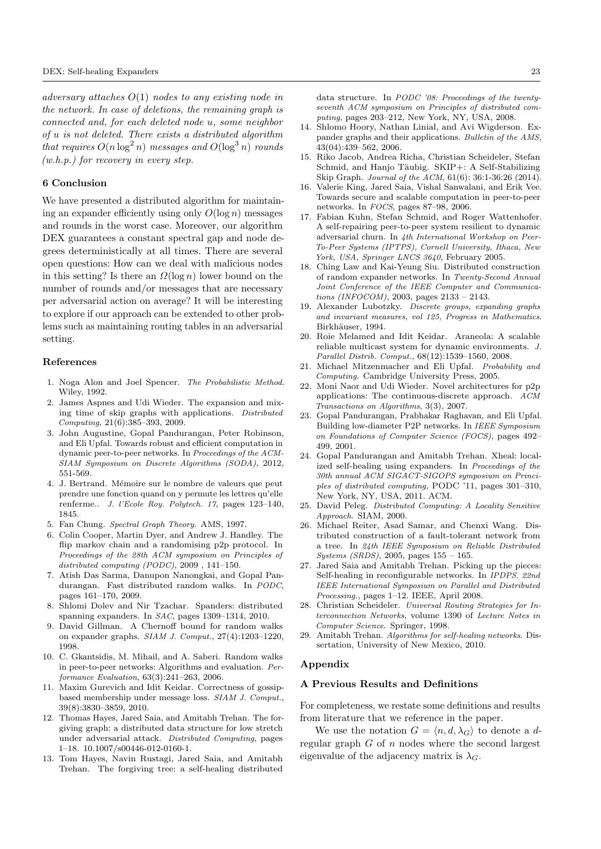adversary attaches  $O(1)$  nodes to any existing node in the network. In case of deletions, the remaining graph is connected and, for each deleted node u, some neighbor of u is not deleted. There exists a distributed algorithm that requires  $O(n \log^2 n)$  messages and  $O(\log^3 n)$  rounds  $(w.h.p.)$  for recovery in every step.

#### 6 Conclusion

We have presented a distributed algorithm for maintaining an expander efficiently using only  $O(\log n)$  messages and rounds in the worst case. Moreover, our algorithm DEX guarantees a constant spectral gap and node degrees deterministically at all times. There are several open questions: How can we deal with malicious nodes in this setting? Is there an  $\Omega(\log n)$  lower bound on the number of rounds and/or messages that are necessary per adversarial action on average? It will be interesting to explore if our approach can be extended to other problems such as maintaining routing tables in an adversarial setting.

#### References

- <span id="page-22-0"></span>1. Noga Alon and Joel Spencer. The Probabilistic Method. Wiley, 1992.
- <span id="page-22-7"></span>2. James Aspnes and Udi Wieder. The expansion and mixing time of skip graphs with applications. Distributed Computing, 21(6):385–393, 2009.
- <span id="page-22-14"></span>3. John Augustine, Gopal Pandurangan, Peter Robinson, and Eli Upfal. Towards robust and efficient computation in dynamic peer-to-peer networks. In Proceedings of the ACM-SIAM Symposium on Discrete Algorithms (SODA), 2012, 551-569.
- <span id="page-22-27"></span>4. J. Bertrand. Mémoire sur le nombre de valeurs que peut prendre une fonction quand on y permute les lettres qu'elle renferme.. J. l'Ecole Roy. Polytech. 17, pages 123–140, 1845.
- <span id="page-22-29"></span>5. Fan Chung. Spectral Graph Theory. AMS, 1997.
- <span id="page-22-16"></span>6. Colin Cooper, Martin Dyer, and Andrew J. Handley. The flip markov chain and a randomising p2p protocol. In Proceedings of the 28th ACM symposium on Principles of distributed computing (PODC), 2009 , 141–150.
- <span id="page-22-30"></span>7. Atish Das Sarma, Danupon Nanongkai, and Gopal Pandurangan. Fast distributed random walks. In PODC, pages 161–170, 2009.
- <span id="page-22-15"></span>8. Shlomi Dolev and Nir Tzachar. Spanders: distributed spanning expanders. In SAC, pages 1309-1314, 2010.
- <span id="page-22-9"></span>9. David Gillman. A Chernoff bound for random walks on expander graphs. SIAM J. Comput., 27(4):1203–1220, 1998.
- <span id="page-22-3"></span>10. C. Gkantsidis, M. Mihail, and A. Saberi. Random walks in peer-to-peer networks: Algorithms and evaluation. Performance Evaluation, 63(3):241–263, 2006.
- <span id="page-22-19"></span>11. Maxim Gurevich and Idit Keidar. Correctness of gossipbased membership under message loss. SIAM J. Comput., 39(8):3830–3859, 2010.
- <span id="page-22-4"></span>12. Thomas Hayes, Jared Saia, and Amitabh Trehan. The forgiving graph: a distributed data structure for low stretch under adversarial attack. Distributed Computing, pages 1–18. 10.1007/s00446-012-0160-1.
- <span id="page-22-23"></span>13. Tom Hayes, Navin Rustagi, Jared Saia, and Amitabh Trehan. The forgiving tree: a self-healing distributed

data structure. In PODC '08: Proceedings of the twentyseventh ACM symposium on Principles of distributed computing, pages 203–212, New York, NY, USA, 2008.

- <span id="page-22-12"></span>14. Shlomo Hoory, Nathan Linial, and Avi Wigderson. Expander graphs and their applications. Bulletin of the AMS, 43(04):439–562, 2006.
- <span id="page-22-8"></span>15. Riko Jacob, Andrea Richa, Christian Scheideler, Stefan Schmid, and Hanjo Täubig. SKIP+: A Self-Stabilizing Skip Graph. Journal of the ACM, 61(6): 36:1-36:26 (2014).
- <span id="page-22-13"></span>16. Valerie King, Jared Saia, Vishal Sanwalani, and Erik Vee. Towards secure and scalable computation in peer-to-peer networks. In FOCS, pages 87–98, 2006.
- <span id="page-22-20"></span>17. Fabian Kuhn, Stefan Schmid, and Roger Wattenhofer. A self-repairing peer-to-peer system resilient to dynamic adversarial churn. In 4th International Workshop on Peer-To-Peer Systems (IPTPS), Cornell University, Ithaca, New York, USA, Springer LNCS 3640, February 2005.
- <span id="page-22-2"></span>18. Ching Law and Kai-Yeung Siu. Distributed construction of random expander networks. In Twenty-Second Annual Joint Conference of the IEEE Computer and Communications (INFOCOM), 2003, pages 2133 – 2143.
- <span id="page-22-26"></span>19. Alexander Lubotzky. Discrete groups, expanding graphs and invariant measures, vol 125, Progress in Mathematics. Birkhäuser, 1994.
- <span id="page-22-18"></span>20. Roie Melamed and Idit Keidar. Araneola: A scalable reliable multicast system for dynamic environments. J. Parallel Distrib. Comput., 68(12):1539–1560, 2008.
- <span id="page-22-28"></span>21. Michael Mitzenmacher and Eli Upfal. Probability and Computing. Cambridge University Press, 2005.
- <span id="page-22-22"></span>22. Moni Naor and Udi Wieder. Novel architectures for p2p applications: The continuous-discrete approach. ACM Transactions on Algorithms, 3(3), 2007.
- <span id="page-22-1"></span>23. Gopal Pandurangan, Prabhakar Raghavan, and Eli Upfal. Building low-diameter P2P networks. In IEEE Symposium on Foundations of Computer Science (FOCS), pages 492– 499, 2001.
- <span id="page-22-6"></span>24. Gopal Pandurangan and Amitabh Trehan. Xheal: localized self-healing using expanders. In Proceedings of the 30th annual ACM SIGACT-SIGOPS symposium on Principles of distributed computing, PODC '11, pages 301–310, New York, NY, USA, 2011. ACM.
- <span id="page-22-21"></span>25. David Peleg. Distributed Computing: A Locality Sensitive Approach. SIAM, 2000.
- <span id="page-22-17"></span>26. Michael Reiter, Asad Samar, and Chenxi Wang. Distributed construction of a fault-tolerant network from a tree. In 24th IEEE Symposium on Reliable Distributed Systems (SRDS), 2005, pages 155 – 165.
- <span id="page-22-24"></span>27. Jared Saia and Amitabh Trehan. Picking up the pieces: Self-healing in reconfigurable networks. In IPDPS. 22nd IEEE International Symposium on Parallel and Distributed Processing., pages 1–12. IEEE, April 2008.
- <span id="page-22-10"></span>28. Christian Scheideler. Universal Routing Strategies for Interconnection Networks, volume 1390 of Lecture Notes in Computer Science. Springer, 1998.
- <span id="page-22-5"></span>29. Amitabh Trehan. Algorithms for self-healing networks. Dissertation, University of New Mexico, 2010.

#### Appendix

#### <span id="page-22-11"></span>A Previous Results and Definitions

For completeness, we restate some definitions and results from literature that we reference in the paper.

<span id="page-22-25"></span>We use the notation  $G = \langle n, d, \lambda_G \rangle$  to denote a dregular graph  $G$  of  $n$  nodes where the second largest eigenvalue of the adjacency matrix is  $\lambda_G$ .